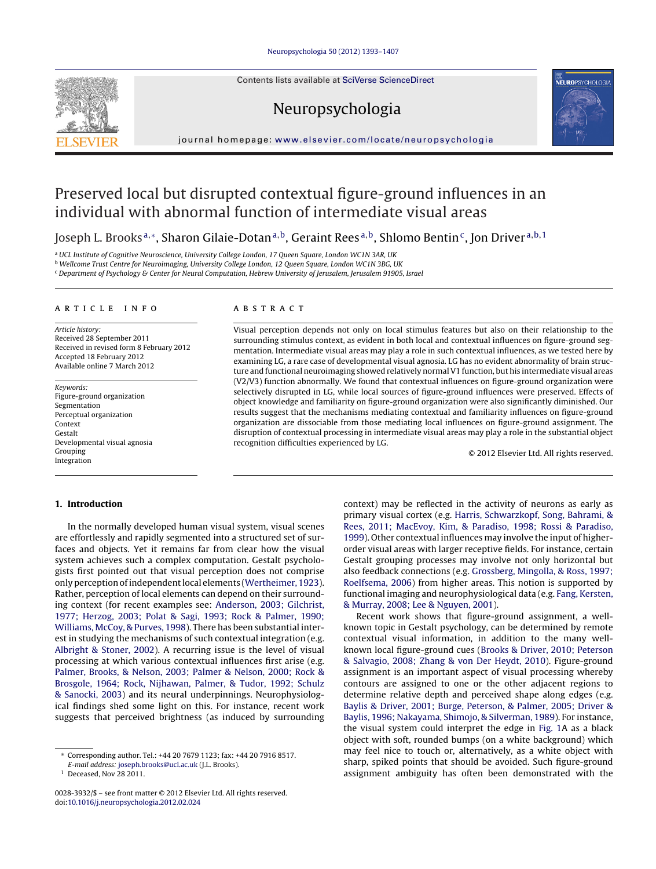Contents lists available at SciVerse [ScienceDirect](http://www.sciencedirect.com/science/journal/00283932)

# Neuropsychologia



iournal homepage: [www.elsevier.com/locate/neuropsychologia](http://www.elsevier.com/locate/neuropsychologia)

# Preserved local but disrupted contextual figure-ground influences in an individual with abnormal function of intermediate visual areas

Joseph L. Brooks<sup>a,∗</sup>, Sharon Gilaie-Dotan<sup>a,b</sup>, Geraint Rees<sup>a,b</sup>, Shlomo Bentin<sup>c</sup>, Jon Driver<sup>a,b,1</sup>

a UCL Institute of Cognitive Neuroscience, University College London, 17 Queen Square, London WC1N 3AR, UK

<sup>b</sup> Wellcome Trust Centre for Neuroimaging, University College London, 12 Queen Square, London WC1N 3BG, UK

<sup>c</sup> Department of Psychology & Center for Neural Computation, Hebrew University of Jerusalem, Jerusalem 91905, Israel

a r t i c l e i n f o

Article history: Received 28 September 2011 Received in revised form 8 February 2012 Accepted 18 February 2012 Available online 7 March 2012

Keywords: Figure-ground organization Segmentation Perceptual organization Context Gestalt Developmental visual agnosia Grouping Integration

# A B S T R A C T

Visual perception depends not only on local stimulus features but also on their relationship to the surrounding stimulus context, as evident in both local and contextual influences on figure-ground segmentation. Intermediate visual areas may play a role in such contextual influences, as we tested here by examining LG, a rare case of developmental visual agnosia. LG has no evident abnormality of brain structure and functional neuroimaging showed relatively normalV1 function, but his intermediate visual areas (V2/V3) function abnormally. We found that contextual influences on figure-ground organization were selectively disrupted in LG, while local sources of figure-ground influences were preserved. Effects of object knowledge and familiarity on figure-ground organization were also significantly diminished. Our results suggest that the mechanisms mediating contextual and familiarity influences on figure-ground organization are dissociable from those mediating local influences on figure-ground assignment. The disruption of contextual processing in intermediate visual areas may play a role in the substantial object recognition difficulties experienced by LG.

© 2012 Elsevier Ltd. All rights reserved.

# **1. Introduction**

In the normally developed human visual system, visual scenes are effortlessly and rapidly segmented into a structured set of surfaces and objects. Yet it remains far from clear how the visual system achieves such a complex computation. Gestalt psychologists first pointed out that visual perception does not comprise only perception of independent local elements [\(Wertheimer,](#page-14-0) [1923\).](#page-14-0) Rather, perception of local elements can depend on their surrounding context (for recent examples see: [Anderson,](#page-13-0) [2003;](#page-13-0) [Gilchrist,](#page-13-0) [1977;](#page-13-0) [Herzog,](#page-13-0) [2003;](#page-13-0) [Polat](#page-13-0) [&](#page-13-0) [Sagi,](#page-13-0) [1993;](#page-13-0) [Rock](#page-13-0) [&](#page-13-0) [Palmer,](#page-13-0) [1990;](#page-13-0) [Williams,](#page-13-0) [McCoy,](#page-13-0) [&](#page-13-0) [Purves,](#page-13-0) [1998\).](#page-13-0) There has been substantial interest in studying the mechanisms of such contextual integration (e.g. [Albright](#page-13-0) [&](#page-13-0) [Stoner,](#page-13-0) [2002\).](#page-13-0) A recurring issue is the level of visual processing at which various contextual influences first arise (e.g. [Palmer,](#page-14-0) [Brooks,](#page-14-0) [&](#page-14-0) [Nelson,](#page-14-0) [2003;](#page-14-0) [Palmer](#page-14-0) [&](#page-14-0) [Nelson,](#page-14-0) [2000;](#page-14-0) [Rock](#page-14-0) [&](#page-14-0) [Brosgole,](#page-14-0) [1964;](#page-14-0) [Rock,](#page-14-0) [Nijhawan,](#page-14-0) [Palmer,](#page-14-0) [&](#page-14-0) [Tudor,](#page-14-0) [1992;](#page-14-0) [Schulz](#page-14-0) [&](#page-14-0) [Sanocki,](#page-14-0) [2003\)](#page-14-0) and its neural underpinnings. Neurophysiological findings shed some light on this. For instance, recent work suggests that perceived brightness (as induced by surrounding context) may be reflected in the activity of neurons as early as primary visual cortex (e.g. [Harris,](#page-14-0) [Schwarzkopf,](#page-14-0) [Song,](#page-14-0) [Bahrami,](#page-14-0) [&](#page-14-0) [Rees,](#page-14-0) [2011;](#page-14-0) [MacEvoy,](#page-14-0) [Kim,](#page-14-0) [&](#page-14-0) [Paradiso,](#page-14-0) [1998;](#page-14-0) [Rossi](#page-14-0) [&](#page-14-0) [Paradiso,](#page-14-0) [1999\).](#page-14-0) Other contextual influences may involve the input of higherorder visual areas with larger receptive fields. For instance, certain Gestalt grouping processes may involve not only horizontal but also feedback connections (e.g. [Grossberg,](#page-14-0) [Mingolla,](#page-14-0) [&](#page-14-0) [Ross,](#page-14-0) [1997;](#page-14-0) [Roelfsema,](#page-14-0) [2006\)](#page-14-0) from higher areas. This notion is supported by functional imaging and neurophysiological data (e.g. [Fang,](#page-13-0) [Kersten,](#page-13-0) [&](#page-13-0) [Murray,](#page-13-0) [2008;](#page-13-0) [Lee](#page-13-0) [&](#page-13-0) [Nguyen,](#page-13-0) [2001\).](#page-13-0)

Recent work shows that figure-ground assignment, a wellknown topic in Gestalt psychology, can be determined by remote contextual visual information, in addition to the many wellknown local figure-ground cues [\(Brooks](#page-13-0) [&](#page-13-0) [Driver,](#page-13-0) [2010;](#page-13-0) [Peterson](#page-13-0) [&](#page-13-0) [Salvagio,](#page-13-0) [2008;](#page-13-0) [Zhang](#page-13-0) [&](#page-13-0) [von](#page-13-0) [Der](#page-13-0) [Heydt,](#page-13-0) [2010\).](#page-13-0) Figure-ground assignment is an important aspect of visual processing whereby contours are assigned to one or the other adjacent regions to determine relative depth and perceived shape along edges (e.g. [Baylis](#page-13-0) [&](#page-13-0) [Driver,](#page-13-0) [2001;](#page-13-0) [Burge,](#page-13-0) [Peterson,](#page-13-0) [&](#page-13-0) [Palmer,](#page-13-0) [2005;](#page-13-0) [Driver](#page-13-0) [&](#page-13-0) [Baylis,](#page-13-0) [1996;](#page-13-0) [Nakayama,](#page-13-0) [Shimojo,](#page-13-0) [&](#page-13-0) [Silverman,](#page-13-0) [1989\).](#page-13-0) For instance, the visual system could interpret the edge in [Fig.](#page-1-0) [1A](#page-1-0) as a black object with soft, rounded bumps (on a white background) which may feel nice to touch or, alternatively, as a white object with sharp, spiked points that should be avoided. Such figure-ground assignment ambiguity has often been demonstrated with the

<sup>∗</sup> Corresponding author. Tel.: +44 20 7679 1123; fax: +44 20 7916 8517.

E-mail address: [joseph.brooks@ucl.ac.uk](mailto:joseph.brooks@ucl.ac.uk) (J.L. Brooks).

 $1$  Deceased, Nov 28 2011.

<sup>0028-3932/\$</sup> – see front matter © 2012 Elsevier Ltd. All rights reserved. doi:[10.1016/j.neuropsychologia.2012.02.024](dx.doi.org/10.1016/j.neuropsychologia.2012.02.024)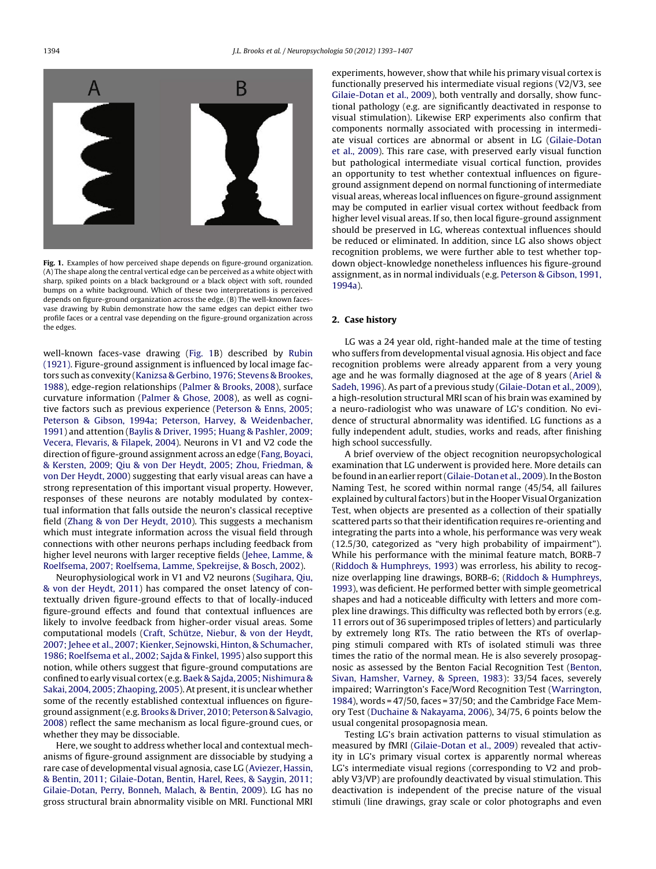<span id="page-1-0"></span>

**Fig. 1.** Examples of how perceived shape depends on figure-ground organization. (A) The shape along the central vertical edge can be perceived as a white object with sharp, spiked points on a black background or a black object with soft, rounded bumps on a white background. Which of these two interpretations is perceived depends on figure-ground organization across the edge. (B) The well-known facesvase drawing by Rubin demonstrate how the same edges can depict either two profile faces or a central vase depending on the figure-ground organization across the edges.

well-known faces-vase drawing (Fig. 1B) described by [Rubin](#page-14-0) [\(1921\).](#page-14-0) Figure-ground assignment is influenced by local image factors such as convexity [\(Kanizsa](#page-14-0) [&](#page-14-0) [Gerbino,](#page-14-0) [1976;](#page-14-0) [Stevens](#page-14-0) [&](#page-14-0) [Brookes,](#page-14-0) [1988\),](#page-14-0) edge-region relationships ([Palmer](#page-14-0) [&](#page-14-0) [Brooks,](#page-14-0) [2008\),](#page-14-0) surface curvature information ([Palmer](#page-14-0) [&](#page-14-0) [Ghose,](#page-14-0) [2008\),](#page-14-0) as well as cognitive factors such as previous experience [\(Peterson](#page-14-0) [&](#page-14-0) [Enns,](#page-14-0) [2005;](#page-14-0) [Peterson](#page-14-0) [&](#page-14-0) [Gibson,](#page-14-0) [1994a;](#page-14-0) [Peterson,](#page-14-0) [Harvey,](#page-14-0) [&](#page-14-0) [Weidenbacher,](#page-14-0) [1991\)](#page-14-0) and attention ([Baylis](#page-13-0) [&](#page-13-0) [Driver,](#page-13-0) [1995;](#page-13-0) [Huang](#page-13-0) [&](#page-13-0) [Pashler,](#page-13-0) [2009;](#page-13-0) [Vecera,](#page-13-0) [Flevaris,](#page-13-0) [&](#page-13-0) [Filapek,](#page-13-0) [2004\).](#page-13-0) Neurons in V1 and V2 code the direction of figure-ground assignment across an edge [\(Fang,](#page-13-0) [Boyaci,](#page-13-0) [&](#page-13-0) [Kersten,](#page-13-0) [2009;](#page-13-0) [Qiu](#page-13-0) [&](#page-13-0) [von](#page-13-0) [Der](#page-13-0) [Heydt,](#page-13-0) [2005;](#page-13-0) [Zhou,](#page-13-0) [Friedman,](#page-13-0) [&](#page-13-0) [von](#page-13-0) [Der](#page-13-0) [Heydt,](#page-13-0) [2000\)](#page-13-0) suggesting that early visual areas can have a strong representation of this important visual property. However, responses of these neurons are notably modulated by contextual information that falls outside the neuron's classical receptive field ([Zhang](#page-14-0) [&](#page-14-0) [von](#page-14-0) [Der](#page-14-0) [Heydt,](#page-14-0) [2010\).](#page-14-0) This suggests a mechanism which must integrate information across the visual field through connections with other neurons perhaps including feedback from higher level neurons with larger receptive fields ([Jehee,](#page-14-0) [Lamme,](#page-14-0) [&](#page-14-0) [Roelfsema,](#page-14-0) [2007;](#page-14-0) [Roelfsema,](#page-14-0) [Lamme,](#page-14-0) [Spekreijse,](#page-14-0) [&](#page-14-0) [Bosch,](#page-14-0) [2002\).](#page-14-0)

Neurophysiological work in V1 and V2 neurons ([Sugihara,](#page-14-0) [Qiu,](#page-14-0) [&](#page-14-0) [von](#page-14-0) [der](#page-14-0) [Heydt,](#page-14-0) [2011\)](#page-14-0) has compared the onset latency of contextually driven figure-ground effects to that of locally-induced figure-ground effects and found that contextual influences are likely to involve feedback from higher-order visual areas. Some computational models [\(Craft,](#page-13-0) [Schütze,](#page-13-0) [Niebur,](#page-13-0) [&](#page-13-0) [von](#page-13-0) [der](#page-13-0) [Heydt,](#page-13-0) 2007; Jehee et [al.,](#page-13-0) [2007;](#page-13-0) [Kienker,](#page-13-0) [Sejnowski,](#page-13-0) [Hinton,](#page-13-0) [&](#page-13-0) [Schumacher,](#page-13-0) [1986;](#page-13-0) [Roelfsema](#page-13-0) et [al.,](#page-13-0) [2002;](#page-13-0) [Sajda](#page-13-0) [&](#page-13-0) [Finkel,](#page-13-0) [1995\)](#page-13-0) also support this notion, while others suggest that figure-ground computations are confined to early visual cortex (e.g. [Baek](#page-13-0) [&](#page-13-0) [Sajda,](#page-13-0) [2005;](#page-13-0) [Nishimura](#page-13-0) [&](#page-13-0) [Sakai,](#page-13-0) [2004,](#page-13-0) [2005;](#page-13-0) [Zhaoping,](#page-13-0) [2005\).](#page-13-0) At present, it is unclear whether some of the recently established contextual influences on figureground assignment(e.g. [Brooks](#page-13-0) [&](#page-13-0) [Driver,](#page-13-0) [2010;](#page-13-0) [Peterson](#page-13-0) [&](#page-13-0) [Salvagio,](#page-13-0) [2008\)](#page-13-0) reflect the same mechanism as local figure-ground cues, or whether they may be dissociable.

Here, we sought to address whether local and contextual mechanisms of figure-ground assignment are dissociable by studying a rare case of developmental visual agnosia, case LG ([Aviezer,](#page-13-0) [Hassin,](#page-13-0) [&](#page-13-0) [Bentin,](#page-13-0) [2011;](#page-13-0) [Gilaie-Dotan,](#page-13-0) [Bentin,](#page-13-0) [Harel,](#page-13-0) [Rees,](#page-13-0) [&](#page-13-0) [Saygin,](#page-13-0) [2011;](#page-13-0) [Gilaie-Dotan,](#page-13-0) [Perry,](#page-13-0) [Bonneh,](#page-13-0) [Malach,](#page-13-0) [&](#page-13-0) [Bentin,](#page-13-0) [2009\).](#page-13-0) LG has no gross structural brain abnormality visible on MRI. Functional MRI

experiments, however, show that while his primary visual cortex is functionally preserved his intermediate visual regions (V2/V3, see [Gilaie-Dotan](#page-14-0) et [al.,](#page-14-0) [2009\),](#page-14-0) both ventrally and dorsally, show functional pathology (e.g. are significantly deactivated in response to visual stimulation). Likewise ERP experiments also confirm that components normally associated with processing in intermediate visual cortices are abnormal or absent in LG ([Gilaie-Dotan](#page-14-0) et [al.,](#page-14-0) [2009\).](#page-14-0) This rare case, with preserved early visual function but pathological intermediate visual cortical function, provides an opportunity to test whether contextual influences on figureground assignment depend on normal functioning of intermediate visual areas, whereas local influences on figure-ground assignment may be computed in earlier visual cortex without feedback from higher level visual areas. If so, then local figure-ground assignment should be preserved in LG, whereas contextual influences should be reduced or eliminated. In addition, since LG also shows object recognition problems, we were further able to test whether topdown object-knowledge nonetheless influences his figure-ground assignment, as in normal individuals (e.g. [Peterson](#page-14-0) [&](#page-14-0) [Gibson,](#page-14-0) [1991,](#page-14-0) [1994a\).](#page-14-0)

#### **2. Case history**

LG was a 24 year old, right-handed male at the time of testing who suffers from developmental visual agnosia. His object and face recognition problems were already apparent from a very young age and he was formally diagnosed at the age of 8 years [\(Ariel](#page-13-0) [&](#page-13-0) [Sadeh,](#page-13-0) [1996\).](#page-13-0) As part of a previous study [\(Gilaie-Dotan](#page-14-0) et [al.,](#page-14-0) [2009\),](#page-14-0) a high-resolution structural MRI scan of his brain was examined by a neuro-radiologist who was unaware of LG's condition. No evidence of structural abnormality was identified. LG functions as a fully independent adult, studies, works and reads, after finishing high school successfully.

A brief overview of the object recognition neuropsychological examination that LG underwent is provided here. More details can be found in an earlier report (Gilaie-Dotan et [al.,](#page-14-0) [2009\).](#page-14-0) In the Boston Naming Test, he scored within normal range (45/54, all failures explained by cultural factors) but in the Hooper Visual Organization Test, when objects are presented as a collection of their spatially scattered parts so that their identification requires re-orienting and integrating the parts into a whole, his performance was very weak (12.5/30, categorized as "very high probability of impairment"). While his performance with the minimal feature match, BORB-7 [\(Riddoch](#page-14-0) [&](#page-14-0) [Humphreys,](#page-14-0) [1993\)](#page-14-0) was errorless, his ability to recognize overlapping line drawings, BORB-6; ([Riddoch](#page-14-0) [&](#page-14-0) [Humphreys,](#page-14-0) [1993\),](#page-14-0) was deficient. He performed better with simple geometrical shapes and had a noticeable difficulty with letters and more complex line drawings. This difficulty was reflected both by errors (e.g. 11 errors out of 36 superimposed triples of letters) and particularly by extremely long RTs. The ratio between the RTs of overlapping stimuli compared with RTs of isolated stimuli was three times the ratio of the normal mean. He is also severely prosopagnosic as assessed by the Benton Facial Recognition Test ([Benton,](#page-13-0) [Sivan,](#page-13-0) [Hamsher,](#page-13-0) [Varney,](#page-13-0) [&](#page-13-0) [Spreen,](#page-13-0) [1983\):](#page-13-0) 33/54 faces, severely impaired; Warrington's Face/Word Recognition Test [\(Warrington,](#page-14-0) [1984\),](#page-14-0) words = 47/50, faces = 37/50; and the Cambridge Face Memory Test ([Duchaine](#page-13-0) [&](#page-13-0) [Nakayama,](#page-13-0) [2006\),](#page-13-0) 34/75, 6 points below the usual congenital prosopagnosia mean.

Testing LG's brain activation patterns to visual stimulation as measured by fMRI ([Gilaie-Dotan](#page-14-0) et [al.,](#page-14-0) [2009\)](#page-14-0) revealed that activity in LG's primary visual cortex is apparently normal whereas LG's intermediate visual regions (corresponding to V2 and probably V3/VP) are profoundly deactivated by visual stimulation. This deactivation is independent of the precise nature of the visual stimuli (line drawings, gray scale or color photographs and even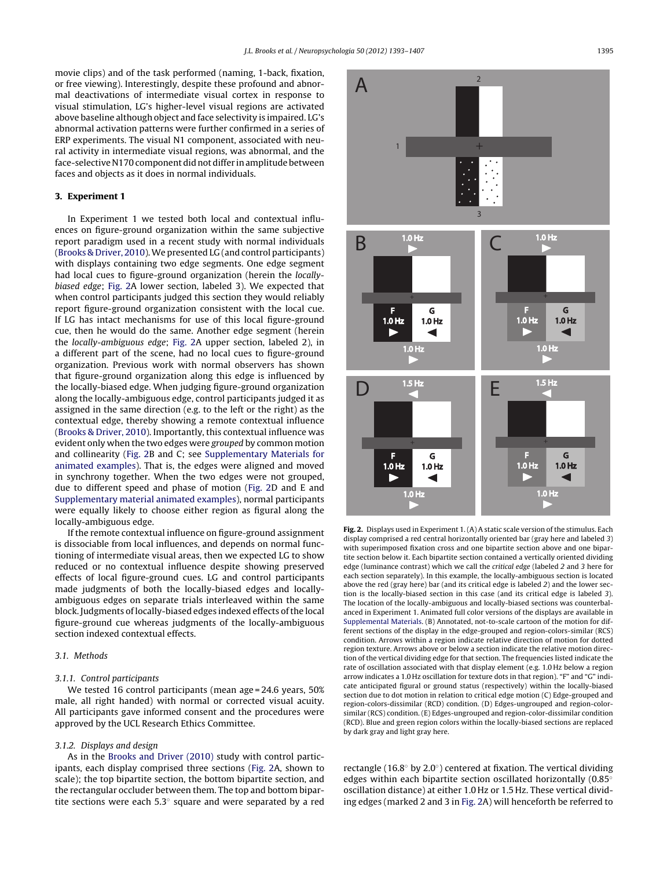<span id="page-2-0"></span>movie clips) and of the task performed (naming, 1-back, fixation, or free viewing). Interestingly, despite these profound and abnormal deactivations of intermediate visual cortex in response to visual stimulation, LG's higher-level visual regions are activated above baseline although object and face selectivity is impaired. LG's abnormal activation patterns were further confirmed in a series of ERP experiments. The visual N1 component, associated with neural activity in intermediate visual regions, was abnormal, and the face-selective N170 component did not differ in amplitude between faces and objects as it does in normal individuals.

## **3. Experiment 1**

In Experiment 1 we tested both local and contextual influences on figure-ground organization within the same subjective report paradigm used in a recent study with normal individuals ([Brooks](#page-13-0) [&](#page-13-0) [Driver,](#page-13-0) [2010\).](#page-13-0)We presented LG (and control participants) with displays containing two edge segments. One edge segment had local cues to figure-ground organization (herein the locallybiased edge; Fig. 2A lower section, labeled 3). We expected that when control participants judged this section they would reliably report figure-ground organization consistent with the local cue. If LG has intact mechanisms for use of this local figure-ground cue, then he would do the same. Another edge segment (herein the locally-ambiguous edge; Fig. 2A upper section, labeled 2), in a different part of the scene, had no local cues to figure-ground organization. Previous work with normal observers has shown that figure-ground organization along this edge is influenced by the locally-biased edge. When judging figure-ground organization along the locally-ambiguous edge, control participants judged it as assigned in the same direction (e.g. to the left or the right) as the contextual edge, thereby showing a remote contextual influence ([Brooks](#page-13-0) [&](#page-13-0) [Driver,](#page-13-0) [2010\).](#page-13-0) Importantly, this contextual influence was evident only when the two edges were grouped by common motion and collinearity (Fig. 2B and C; see [Supplementary](#page-13-0) [Materials](#page-13-0) [for](#page-13-0) [animated](#page-13-0) [examples\).](#page-13-0) That is, the edges were aligned and moved in synchrony together. When the two edges were not grouped, due to different speed and phase of motion (Fig. 2D and E and [Supplementary](#page-13-0) [material](#page-13-0) [animated](#page-13-0) [examples\),](#page-13-0) normal participants were equally likely to choose either region as figural along the locally-ambiguous edge.

If the remote contextual influence on figure-ground assignment is dissociable from local influences, and depends on normal functioning of intermediate visual areas, then we expected LG to show reduced or no contextual influence despite showing preserved effects of local figure-ground cues. LG and control participants made judgments of both the locally-biased edges and locallyambiguous edges on separate trials interleaved within the same block. Judgments of locally-biased edges indexed effects of the local figure-ground cue whereas judgments of the locally-ambiguous section indexed contextual effects.

# 3.1. Methods

#### 3.1.1. Control participants

We tested 16 control participants (mean age = 24.6 years, 50% male, all right handed) with normal or corrected visual acuity. All participants gave informed consent and the procedures were approved by the UCL Research Ethics Committee.

## 3.1.2. Displays and design

As in the [Brooks](#page-13-0) [and](#page-13-0) [Driver](#page-13-0) [\(2010\)](#page-13-0) study with control participants, each display comprised three sections (Fig. 2A, shown to scale); the top bipartite section, the bottom bipartite section, and the rectangular occluder between them. The top and bottom bipartite sections were each  $5.3^\circ$  square and were separated by a red



**Fig. 2.** Displays used in Experiment 1. (A) A static scale version of the stimulus. Each display comprised a red central horizontally oriented bar (gray here and labeled 3) with superimposed fixation cross and one bipartite section above and one bipartite section below it. Each bipartite section contained a vertically oriented dividing edge (luminance contrast) which we call the critical edge (labeled 2 and 3 here for each section separately). In this example, the locally-ambiguous section is located above the red (gray here) bar (and its critical edge is labeled 2) and the lower section is the locally-biased section in this case (and its critical edge is labeled 3). The location of the locally-ambiguous and locally-biased sections was counterbalanced in Experiment 1. Animated full color versions of the displays are available in [Supplemental](#page-13-0) [Materials.](#page-13-0) (B) Annotated, not-to-scale cartoon of the motion for different sections of the display in the edge-grouped and region-colors-similar (RCS) condition. Arrows within a region indicate relative direction of motion for dotted region texture. Arrows above or below a section indicate the relative motion direction of the vertical dividing edge for that section. The frequencies listed indicate the rate of oscillation associated with that display element (e.g. 1.0 Hz below a region arrow indicates a 1.0 Hz oscillation for texture dots in that region). "F" and "G" indicate anticipated figural or ground status (respectively) within the locally-biased section due to dot motion in relation to critical edge motion (C) Edge-grouped and region-colors-dissimilar (RCD) condition. (D) Edges-ungrouped and region-colorsimilar (RCS) condition. (E) Edges-ungrouped and region-color-dissimilar condition (RCD). Blue and green region colors within the locally-biased sections are replaced by dark gray and light gray here.

rectangle (16.8◦ by 2.0◦) centered at fixation. The vertical dividing edges within each bipartite section oscillated horizontally (0.85◦ oscillation distance) at either 1.0 Hz or 1.5 Hz. These vertical dividing edges (marked 2 and 3 in Fig. 2A) will henceforth be referred to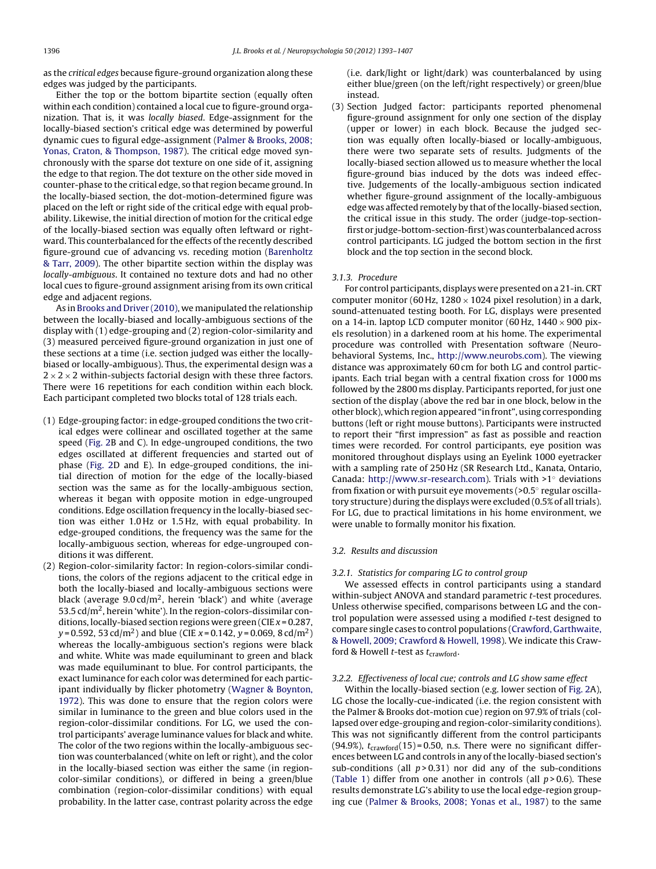as the critical edges because figure-ground organization along these edges was judged by the participants.

Either the top or the bottom bipartite section (equally often within each condition) contained a local cue to figure-ground organization. That is, it was locally biased. Edge-assignment for the locally-biased section's critical edge was determined by powerful dynamic cues to figural edge-assignment [\(Palmer](#page-14-0) [&](#page-14-0) [Brooks,](#page-14-0) [2008;](#page-14-0) [Yonas,](#page-14-0) [Craton,](#page-14-0) [&](#page-14-0) [Thompson,](#page-14-0) [1987\).](#page-14-0) The critical edge moved synchronously with the sparse dot texture on one side of it, assigning the edge to that region. The dot texture on the other side moved in counter-phase to the critical edge, so that region became ground. In the locally-biased section, the dot-motion-determined figure was placed on the left or right side of the critical edge with equal probability. Likewise, the initial direction of motion for the critical edge of the locally-biased section was equally often leftward or rightward. This counterbalanced for the effects of the recently described figure-ground cue of advancing vs. receding motion ([Barenholtz](#page-13-0) [&](#page-13-0) [Tarr,](#page-13-0) [2009\).](#page-13-0) The other bipartite section within the display was locally-ambiguous. It contained no texture dots and had no other local cues to figure-ground assignment arising from its own critical edge and adjacent regions.

As in [Brooks](#page-13-0) [and](#page-13-0) [Driver](#page-13-0) [\(2010\),](#page-13-0) we manipulated the relationship between the locally-biased and locally-ambiguous sections of the display with (1) edge-grouping and (2) region-color-similarity and (3) measured perceived figure-ground organization in just one of these sections at a time (i.e. section judged was either the locallybiased or locally-ambiguous). Thus, the experimental design was a  $2 \times 2 \times 2$  within-subjects factorial design with these three factors. There were 16 repetitions for each condition within each block. Each participant completed two blocks total of 128 trials each.

- (1) Edge-grouping factor: in edge-grouped conditions the two critical edges were collinear and oscillated together at the same speed [\(Fig.](#page-2-0) [2B](#page-2-0) and C). In edge-ungrouped conditions, the two edges oscillated at different frequencies and started out of phase [\(Fig.](#page-2-0) [2D](#page-2-0) and E). In edge-grouped conditions, the initial direction of motion for the edge of the locally-biased section was the same as for the locally-ambiguous section, whereas it began with opposite motion in edge-ungrouped conditions. Edge oscillation frequency in the locally-biased section was either 1.0 Hz or 1.5 Hz, with equal probability. In edge-grouped conditions, the frequency was the same for the locally-ambiguous section, whereas for edge-ungrouped conditions it was different.
- (2) Region-color-similarity factor: In region-colors-similar conditions, the colors of the regions adjacent to the critical edge in both the locally-biased and locally-ambiguous sections were black (average  $9.0 \text{ cd/m}^2$ , herein 'black') and white (average 53.5  $\text{cd/m}^2$ , herein 'white'). In the region-colors-dissimilar conditions, locally-biased section regions were green (CIE  $x = 0.287$ ,  $y = 0.592$ , 53 cd/m<sup>2</sup>) and blue (CIE  $x = 0.142$ ,  $y = 0.069$ , 8 cd/m<sup>2</sup>) whereas the locally-ambiguous section's regions were black and white. White was made equiluminant to green and black was made equiluminant to blue. For control participants, the exact luminance for each color was determined for each participant individually by flicker photometry ([Wagner](#page-14-0) [&](#page-14-0) [Boynton,](#page-14-0) [1972\).](#page-14-0) This was done to ensure that the region colors were similar in luminance to the green and blue colors used in the region-color-dissimilar conditions. For LG, we used the control participants' average luminance values for black and white. The color of the two regions within the locally-ambiguous section was counterbalanced (white on left or right), and the color in the locally-biased section was either the same (in regioncolor-similar conditions), or differed in being a green/blue combination (region-color-dissimilar conditions) with equal probability. In the latter case, contrast polarity across the edge

(i.e. dark/light or light/dark) was counterbalanced by using either blue/green (on the left/right respectively) or green/blue instead.

(3) Section Judged factor: participants reported phenomenal figure-ground assignment for only one section of the display (upper or lower) in each block. Because the judged section was equally often locally-biased or locally-ambiguous, there were two separate sets of results. Judgments of the locally-biased section allowed us to measure whether the local figure-ground bias induced by the dots was indeed effective. Judgements of the locally-ambiguous section indicated whether figure-ground assignment of the locally-ambiguous edge was affected remotely by that of the locally-biased section, the critical issue in this study. The order (judge-top-sectionfirst or judge-bottom-section-first) was counterbalanced across control participants. LG judged the bottom section in the first block and the top section in the second block.

#### 3.1.3. Procedure

For control participants, displays were presented on a 21-in. CRT computer monitor (60 Hz,  $1280 \times 1024$  pixel resolution) in a dark, sound-attenuated testing booth. For LG, displays were presented on a 14-in. laptop LCD computer monitor (60 Hz,  $1440 \times 900$  pixels resolution) in a darkened room at his home. The experimental procedure was controlled with Presentation software (Neurobehavioral Systems, Inc., [http://www.neurobs.com](http://www.neurobs.com/)). The viewing distance was approximately 60 cm for both LG and control participants. Each trial began with a central fixation cross for 1000 ms followed by the 2800 ms display. Participants reported, for just one section of the display (above the red bar in one block, below in the other block), which region appeared "in front", using corresponding buttons (left or right mouse buttons). Participants were instructed to report their "first impression" as fast as possible and reaction times were recorded. For control participants, eye position was monitored throughout displays using an Eyelink 1000 eyetracker with a sampling rate of 250 Hz (SR Research Ltd., Kanata, Ontario, Canada: [http://www.sr-research.com\)](http://www.sr-research.com/). Trials with >1◦ deviations from fixation or with pursuit eye movements (>0.5◦ regular oscillatory structure) during the displays were excluded (0.5% of all trials). For LG, due to practical limitations in his home environment, we were unable to formally monitor his fixation.

## 3.2. Results and discussion

## 3.2.1. Statistics for comparing LG to control group

We assessed effects in control participants using a standard within-subject ANOVA and standard parametric t-test procedures. Unless otherwise specified, comparisons between LG and the control population were assessed using a modified t-test designed to compare single cases to control populations [\(Crawford,](#page-13-0) [Garthwaite,](#page-13-0) [&](#page-13-0) [Howell,](#page-13-0) [2009;](#page-13-0) [Crawford](#page-13-0) [&](#page-13-0) [Howell,](#page-13-0) [1998\).](#page-13-0) We indicate this Crawford & Howell *t*-test as  $t_{\text{crawford}}$ .

#### 3.2.2. Effectiveness of local cue; controls and LG show same effect

Within the locally-biased section (e.g. lower section of [Fig.](#page-2-0) [2A](#page-2-0)), LG chose the locally-cue-indicated (i.e. the region consistent with the Palmer & Brooks dot-motion cue) region on 97.9% of trials (collapsed over edge-grouping and region-color-similarity conditions). This was not significantly different from the control participants (94.9%),  $t_{crawford}$ (15) = 0.50, n.s. There were no significant differences between LG and controls in any of the locally-biased section's sub-conditions (all  $p > 0.31$ ) nor did any of the sub-conditions [\(Table](#page-4-0) 1) differ from one another in controls (all  $p > 0.6$ ). These results demonstrate LG's ability to use the local edge-region grouping cue ([Palmer](#page-14-0) [&](#page-14-0) [Brooks,](#page-14-0) [2008;](#page-14-0) [Yonas](#page-14-0) et [al.,](#page-14-0) [1987\)](#page-14-0) to the same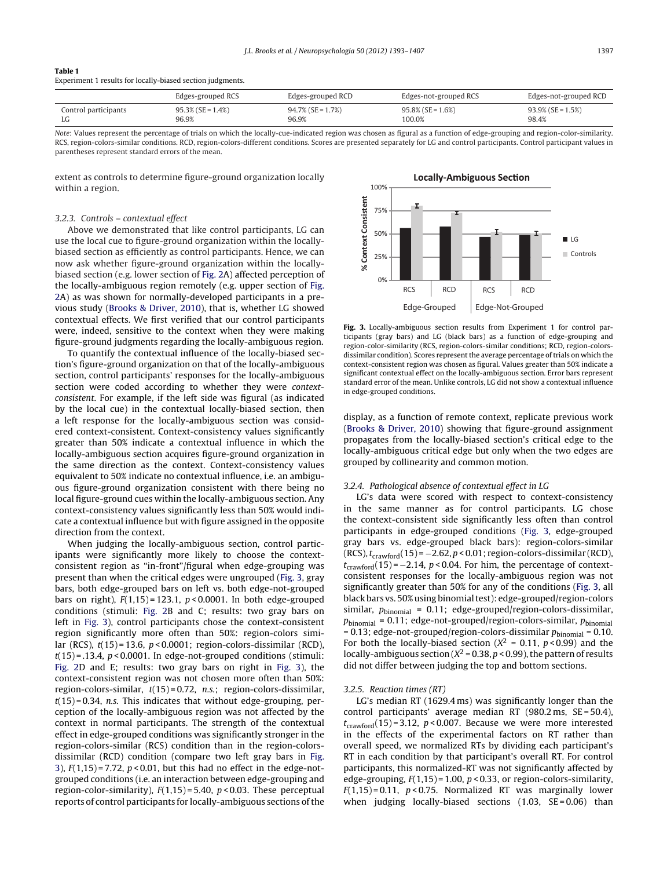<span id="page-4-0"></span>

| Table 1                                                                                                                                                                                                                       |  |  |
|-------------------------------------------------------------------------------------------------------------------------------------------------------------------------------------------------------------------------------|--|--|
| Provident and a state of the control of the County of the County of the County of the County of the County of the County of the County of the County of the County of the County of the County of the County of the County of |  |  |

Experiment 1 results for locally-biased section judgments.

|                      | Edges-grouped RCS    | Edges-grouped RCD    | Edges-not-grouped RCS | Edges-not-grouped RCD |
|----------------------|----------------------|----------------------|-----------------------|-----------------------|
| Control participants | $95.3\%$ (SE = 1.4%) | $94.7\%$ (SE = 1.7%) | $95.8\%$ (SE = 1.6%)  | $93.9\%$ (SE = 1.5%)  |
| LG                   | 96.9%                | 96.9%                | 100.0%                | 98.4%                 |

Note: Values represent the percentage of trials on which the locally-cue-indicated region was chosen as figural as a function of edge-grouping and region-color-similarity. RCS, region-colors-similar conditions. RCD, region-colors-different conditions. Scores are presented separately for LG and control participants. Control participant values in parentheses represent standard errors of the mean.

extent as controls to determine figure-ground organization locally within a region.

# 3.2.3. Controls – contextual effect

Above we demonstrated that like control participants, LG can use the local cue to figure-ground organization within the locallybiased section as efficiently as control participants. Hence, we can now ask whether figure-ground organization within the locallybiased section (e.g. lower section of [Fig.](#page-2-0) [2A](#page-2-0)) affected perception of the locally-ambiguous region remotely (e.g. upper section of [Fig.](#page-2-0) [2A\)](#page-2-0) as was shown for normally-developed participants in a previous study [\(Brooks](#page-13-0) [&](#page-13-0) [Driver,](#page-13-0) [2010\),](#page-13-0) that is, whether LG showed contextual effects. We first verified that our control participants were, indeed, sensitive to the context when they were making figure-ground judgments regarding the locally-ambiguous region.

To quantify the contextual influence of the locally-biased section's figure-ground organization on that of the locally-ambiguous section, control participants' responses for the locally-ambiguous section were coded according to whether they were contextconsistent. For example, if the left side was figural (as indicated by the local cue) in the contextual locally-biased section, then a left response for the locally-ambiguous section was considered context-consistent. Context-consistency values significantly greater than 50% indicate a contextual influence in which the locally-ambiguous section acquires figure-ground organization in the same direction as the context. Context-consistency values equivalent to 50% indicate no contextual influence, i.e. an ambiguous figure-ground organization consistent with there being no local figure-ground cues within the locally-ambiguous section. Any context-consistency values significantly less than 50% would indicate a contextual influence but with figure assigned in the opposite direction from the context.

When judging the locally-ambiguous section, control participants were significantly more likely to choose the contextconsistent region as "in-front"/figural when edge-grouping was present than when the critical edges were ungrouped (Fig. 3, gray bars, both edge-grouped bars on left vs. both edge-not-grouped bars on right),  $F(1,15) = 123.1$ ,  $p < 0.0001$ . In both edge-grouped conditions (stimuli: [Fig.](#page-2-0) 2B and C; results: two gray bars on left in Fig. 3), control participants chose the context-consistent region significantly more often than 50%: region-colors similar (RCS),  $t(15) = 13.6$ ,  $p < 0.0001$ ; region-colors-dissimilar (RCD),  $t(15)$  = .13.4,  $p$  < 0.0001. In edge-not-grouped conditions (stimuli: [Fig.](#page-2-0) 2D and E; results: two gray bars on right in Fig. 3), the context-consistent region was not chosen more often than 50%: region-colors-similar,  $t(15) = 0.72$ , n.s.; region-colors-dissimilar,  $t(15) = 0.34$ , n.s. This indicates that without edge-grouping, perception of the locally-ambiguous region was not affected by the context in normal participants. The strength of the contextual effect in edge-grouped conditions was significantly stronger in the region-colors-similar (RCS) condition than in the region-colorsdissimilar (RCD) condition (compare two left gray bars in Fig. 3),  $F(1,15) = 7.72$ ,  $p < 0.01$ , but this had no effect in the edge-notgrouped conditions (i.e. an interaction between edge-grouping and region-color-similarity),  $F(1,15) = 5.40$ ,  $p < 0.03$ . These perceptual reports of control participants for locally-ambiguous sections ofthe



**Fig. 3.** Locally-ambiguous section results from Experiment 1 for control participants (gray bars) and LG (black bars) as a function of edge-grouping and region-color-similarity (RCS, region-colors-similar conditions; RCD, region-colorsdissimilar condition). Scores represent the average percentage of trials on which the context-consistent region was chosen as figural. Values greater than 50% indicate a significant contextual effect on the locally-ambiguous section. Error bars represent standard error of the mean. Unlike controls, LG did not show a contextual influence in edge-grouped conditions.

display, as a function of remote context, replicate previous work [\(Brooks](#page-13-0) [&](#page-13-0) [Driver,](#page-13-0) [2010\)](#page-13-0) showing that figure-ground assignment propagates from the locally-biased section's critical edge to the locally-ambiguous critical edge but only when the two edges are grouped by collinearity and common motion.

## 3.2.4. Pathological absence of contextual effect in LG

LG's data were scored with respect to context-consistency in the same manner as for control participants. LG chose the context-consistent side significantly less often than control participants in edge-grouped conditions (Fig. 3, edge-grouped gray bars vs. edge-grouped black bars): region-colors-similar (RCS),  $t_{crawford}$ (15) = -2.62, p < 0.01; region-colors-dissimilar (RCD),  $t_{\text{crawford}}(15) = -2.14$ , p < 0.04. For him, the percentage of contextconsistent responses for the locally-ambiguous region was not significantly greater than 50% for any of the conditions (Fig. 3, all black bars vs. 50% using binomial test): edge-grouped/region-colors similar,  $p_{\text{binomial}} = 0.11$ ; edge-grouped/region-colors-dissimilar,  $p_{\text{binomial}} = 0.11$ ; edge-not-grouped/region-colors-similar,  $p_{\text{binomial}}$  $= 0.13$ ; edge-not-grouped/region-colors-dissimilar  $p_{\text{binomial}} = 0.10$ . For both the locally-biased section ( $X^2 = 0.11$ ,  $p < 0.99$ ) and the locally-ambiguous section ( $X^2$  = 0.38,  $p$  < 0.99), the pattern of results did not differ between judging the top and bottom sections.

## 3.2.5. Reaction times (RT)

LG's median RT (1629.4 ms) was significantly longer than the control participants' average median RT (980.2 ms, SE = 50.4),  $t_{crawford}(15) = 3.12$ ,  $p < 0.007$ . Because we were more interested in the effects of the experimental factors on RT rather than overall speed, we normalized RTs by dividing each participant's RT in each condition by that participant's overall RT. For control participants, this normalized-RT was not significantly affected by edge-grouping,  $F(1,15) = 1.00$ ,  $p < 0.33$ , or region-colors-similarity,  $F(1,15) = 0.11$ ,  $p < 0.75$ . Normalized RT was marginally lower when judging locally-biased sections (1.03, SE=0.06) than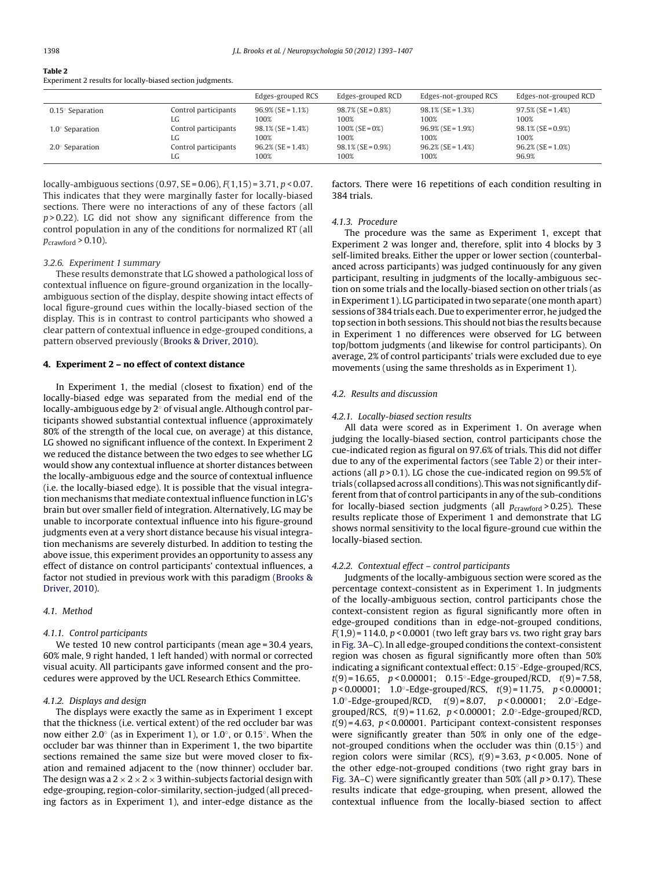| Table 2                                                    |  |
|------------------------------------------------------------|--|
| Experiment 2 results for locally-biased section judgments. |  |

|                         |                      | Edges-grouped RCS    | Edges-grouped RCD    | Edges-not-grouped RCS | Edges-not-grouped RCD |
|-------------------------|----------------------|----------------------|----------------------|-----------------------|-----------------------|
| $0.15^\circ$ Separation | Control participants | $96.9\%$ (SE = 1.1%) | $98.7\%$ (SE = 0.8%) | $98.1\%$ (SE = 1.3%)  | $97.5\%$ (SE = 1.4%)  |
|                         | LG                   | 100%                 | 100%                 | 100%                  | 100%                  |
| $1.0^\circ$ Separation  | Control participants | $98.1\%$ (SE = 1.4%) | $100\%$ (SE = 0%)    | $96.9\%$ (SE = 1.9%)  | $98.1\%$ (SE = 0.9%)  |
|                         | LG                   | 100%                 | 100%                 | 100%                  | 100%                  |
| $2.0^\circ$ Separation  | Control participants | $96.2\%$ (SE = 1.4%) | $98.1\%$ (SE = 0.9%) | $96.2\%$ (SE = 1.4%)  | $96.2\%$ (SE = 1.0%)  |
|                         | LG                   | 100%                 | 100%                 | 100%                  | 96.9%                 |

locally-ambiguous sections (0.97,  $SE = 0.06$ ),  $F(1,15) = 3.71$ ,  $p < 0.07$ . This indicates that they were marginally faster for locally-biased sections. There were no interactions of any of these factors (all  $p > 0.22$ ). LG did not show any significant difference from the control population in any of the conditions for normalized RT (all  $p_{\text{crawford}} > 0.10$ ).

## 3.2.6. Experiment 1 summary

These results demonstrate that LG showed a pathological loss of contextual influence on figure-ground organization in the locallyambiguous section of the display, despite showing intact effects of local figure-ground cues within the locally-biased section of the display. This is in contrast to control participants who showed a clear pattern of contextual influence in edge-grouped conditions, a pattern observed previously [\(Brooks](#page-13-0) [&](#page-13-0) [Driver,](#page-13-0) [2010\).](#page-13-0)

# **4. Experiment 2 – no effect of context distance**

In Experiment 1, the medial (closest to fixation) end of the locally-biased edge was separated from the medial end of the locally-ambiguous edge by 2◦ of visual angle. Although control participants showed substantial contextual influence (approximately 80% of the strength of the local cue, on average) at this distance, LG showed no significant influence of the context. In Experiment 2 we reduced the distance between the two edges to see whether LG would show any contextual influence at shorter distances between the locally-ambiguous edge and the source of contextual influence (i.e. the locally-biased edge). It is possible that the visual integration mechanisms that mediate contextual influence function in LG's brain but over smaller field of integration. Alternatively, LG may be unable to incorporate contextual influence into his figure-ground judgments even at a very short distance because his visual integration mechanisms are severely disturbed. In addition to testing the above issue, this experiment provides an opportunity to assess any effect of distance on control participants' contextual influences, a factor not studied in previous work with this paradigm [\(Brooks](#page-13-0) [&](#page-13-0) [Driver,](#page-13-0) [2010\).](#page-13-0)

# 4.1. Method

# 4.1.1. Control participants

We tested 10 new control participants (mean age = 30.4 years, 60% male, 9 right handed, 1 left handed) with normal or corrected visual acuity. All participants gave informed consent and the procedures were approved by the UCL Research Ethics Committee.

## 4.1.2. Displays and design

The displays were exactly the same as in Experiment 1 except that the thickness (i.e. vertical extent) of the red occluder bar was now either 2.0◦ (as in Experiment 1), or 1.0◦, or 0.15◦. When the occluder bar was thinner than in Experiment 1, the two bipartite sections remained the same size but were moved closer to fixation and remained adjacent to the (now thinner) occluder bar. The design was a  $2 \times 2 \times 2 \times 3$  within-subjects factorial design with edge-grouping, region-color-similarity, section-judged (all preceding factors as in Experiment 1), and inter-edge distance as the

factors. There were 16 repetitions of each condition resulting in 384 trials.

## 4.1.3. Procedure

The procedure was the same as Experiment 1, except that Experiment 2 was longer and, therefore, split into 4 blocks by 3 self-limited breaks. Either the upper or lower section (counterbalanced across participants) was judged continuously for any given participant, resulting in judgments of the locally-ambiguous section on some trials and the locally-biased section on other trials (as in Experiment 1). LG participated in two separate (one month apart) sessions of 384 trials each. Due to experimenter error, he judged the top section in both sessions. This should not bias the results because in Experiment 1 no differences were observed for LG between top/bottom judgments (and likewise for control participants). On average, 2% of control participants' trials were excluded due to eye movements (using the same thresholds as in Experiment 1).

## 4.2. Results and discussion

## 4.2.1. Locally-biased section results

All data were scored as in Experiment 1. On average when judging the locally-biased section, control participants chose the cue-indicated region as figural on 97.6% of trials. This did not differ due to any of the experimental factors (see Table 2) or their interactions (all  $p > 0.1$ ). LG chose the cue-indicated region on 99.5% of trials (collapsed across all conditions). This was not significantly different from that of control participants in any of the sub-conditions for locally-biased section judgments (all  $p_{\text{crawford}} > 0.25$ ). These results replicate those of Experiment 1 and demonstrate that LG shows normal sensitivity to the local figure-ground cue within the locally-biased section.

# 4.2.2. Contextual effect – control participants

Judgments of the locally-ambiguous section were scored as the percentage context-consistent as in Experiment 1. In judgments of the locally-ambiguous section, control participants chose the context-consistent region as figural significantly more often in edge-grouped conditions than in edge-not-grouped conditions,  $F(1,9)$  = 114.0,  $p < 0.0001$  (two left gray bars vs. two right gray bars in [Fig.](#page-4-0) [3A](#page-4-0)–C). In all edge-grouped conditions the context-consistent region was chosen as figural significantly more often than 50% indicating a significant contextual effect: 0.15◦-Edge-grouped/RCS,  $t(9) = 16.65$ ,  $p < 0.00001$ ; 0.15°-Edge-grouped/RCD,  $t(9) = 7.58$ ,  $p < 0.00001$ ; 1.0 $\textdegree$ -Edge-grouped/RCS,  $t(9) = 11.75$ ,  $p < 0.00001$ ; 1.0◦-Edge-grouped/RCD, t(9) = 8.07, p < 0.00001; 2.0◦-Edgegrouped/RCS,  $t(9) = 11.62$ ,  $p < 0.00001$ ; 2.0 $\degree$ -Edge-grouped/RCD,  $t(9) = 4.63$ ,  $p < 0.00001$ . Participant context-consistent responses were significantly greater than 50% in only one of the edgenot-grouped conditions when the occluder was thin (0.15°) and region colors were similar (RCS),  $t(9) = 3.63$ ,  $p < 0.005$ . None of the other edge-not-grouped conditions (two right gray bars in [Fig.](#page-4-0) [3A](#page-4-0)–C) were significantly greater than 50% (all  $p > 0.17$ ). These results indicate that edge-grouping, when present, allowed the contextual influence from the locally-biased section to affect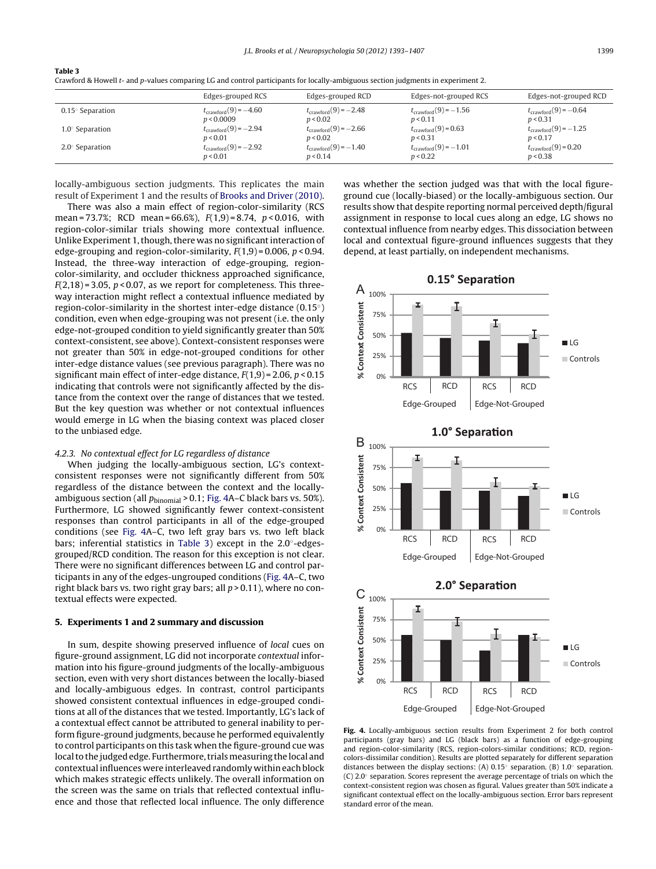|--|--|

Crawford & Howell t- and p-values comparing LG and control participants for locally-ambiguous section judgments in experiment 2.

|                         | Edges-grouped RCS                | Edges-grouped RCD                | Edges-not-grouped RCS            | Edges-not-grouped RCD            |
|-------------------------|----------------------------------|----------------------------------|----------------------------------|----------------------------------|
| $0.15^\circ$ Separation | $t_{\text{crawford}}(9) = -4.60$ | $t_{\text{crawford}}(9) = -2.48$ | $t_{\text{crawford}}(9) = -1.56$ | $t_{crawford}(9) = -0.64$        |
|                         | p < 0.0009                       | p < 0.02                         | p < 0.11                         | p < 0.31                         |
| $1.0^\circ$ Separation  | $t_{\text{crawford}}(9) = -2.94$ | $t_{\text{crawford}}(9) = -2.66$ | $t_{\text{crawford}}(9) = 0.63$  | $t_{\text{crawford}}(9) = -1.25$ |
|                         | p < 0.01                         | p < 0.02                         | p < 0.31                         | p < 0.17                         |
| $2.0^\circ$ Separation  | $t_{\text{crawford}}(9) = -2.92$ | $t_{\text{crawford}}(9) = -1.40$ | $t_{\text{crawford}}(9) = -1.01$ | $t_{\text{crawford}}(9) = 0.20$  |
|                         | p < 0.01                         | p < 0.14                         | p < 0.22                         | p < 0.38                         |

locally-ambiguous section judgments. This replicates the main result of Experiment 1 and the results of [Brooks](#page-13-0) [and](#page-13-0) [Driver](#page-13-0) [\(2010\).](#page-13-0)

There was also a main effect of region-color-similarity (RCS mean = 73.7%; RCD mean = 66.6%),  $F(1,9) = 8.74$ ,  $p < 0.016$ , with region-color-similar trials showing more contextual influence. Unlike Experiment 1, though, there was no significant interaction of edge-grouping and region-color-similarity,  $F(1,9) = 0.006$ ,  $p < 0.94$ . Instead, the three-way interaction of edge-grouping, regioncolor-similarity, and occluder thickness approached significance,  $F(2,18)$  = 3.05,  $p$  < 0.07, as we report for completeness. This threeway interaction might reflect a contextual influence mediated by region-color-similarity in the shortest inter-edge distance (0.15◦) condition, even when edge-grouping was not present (i.e. the only edge-not-grouped condition to yield significantly greater than 50% context-consistent, see above). Context-consistent responses were not greater than 50% in edge-not-grouped conditions for other inter-edge distance values (see previous paragraph). There was no significant main effect of inter-edge distance,  $F(1,9) = 2.06$ ,  $p < 0.15$ indicating that controls were not significantly affected by the distance from the context over the range of distances that we tested. But the key question was whether or not contextual influences would emerge in LG when the biasing context was placed closer to the unbiased edge.

# 4.2.3. No contextual effect for LG regardless of distance

When judging the locally-ambiguous section, LG's contextconsistent responses were not significantly different from 50% regardless of the distance between the context and the locallyambiguous section (all  $p_{\text{binomial}} > 0.1$ ; Fig. 4A–C black bars vs. 50%). Furthermore, LG showed significantly fewer context-consistent responses than control participants in all of the edge-grouped conditions (see Fig. 4A–C, two left gray bars vs. two left black bars; inferential statistics in Table 3) except in the 2.0◦-edgesgrouped/RCD condition. The reason for this exception is not clear. There were no significant differences between LG and control participants in any of the edges-ungrouped conditions (Fig. 4A–C, two right black bars vs. two right gray bars; all  $p > 0.11$ ), where no contextual effects were expected.

## **5. Experiments 1 and 2 summary and discussion**

In sum, despite showing preserved influence of local cues on figure-ground assignment, LG did not incorporate contextual information into his figure-ground judgments of the locally-ambiguous section, even with very short distances between the locally-biased and locally-ambiguous edges. In contrast, control participants showed consistent contextual influences in edge-grouped conditions at all of the distances that we tested. Importantly, LG's lack of a contextual effect cannot be attributed to general inability to perform figure-ground judgments, because he performed equivalently to control participants on this task when the figure-ground cue was local to the judged edge. Furthermore, trials measuring the local and contextual influences were interleaved randomly within each block which makes strategic effects unlikely. The overall information on the screen was the same on trials that reflected contextual influence and those that reflected local influence. The only difference

was whether the section judged was that with the local figureground cue (locally-biased) or the locally-ambiguous section. Our results show that despite reporting normal perceived depth/figural assignment in response to local cues along an edge, LG shows no contextual influence from nearby edges. This dissociation between local and contextual figure-ground influences suggests that they depend, at least partially, on independent mechanisms.



**Fig. 4.** Locally-ambiguous section results from Experiment 2 for both control participants (gray bars) and LG (black bars) as a function of edge-grouping and region-color-similarity (RCS, region-colors-similar conditions; RCD, regioncolors-dissimilar condition). Results are plotted separately for different separation distances between the display sections: (A) 0.15 $\degree$  separation. (B) 1.0 $\degree$  separation. (C) 2.0◦ separation. Scores represent the average percentage of trials on which the context-consistent region was chosen as figural. Values greater than 50% indicate a significant contextual effect on the locally-ambiguous section. Error bars represent standard error of the mean.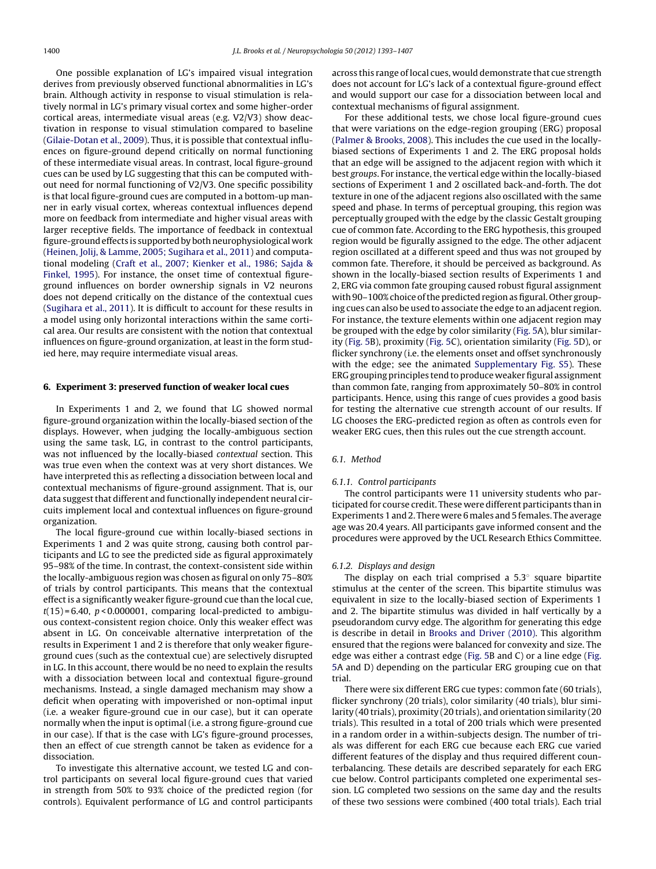One possible explanation of LG's impaired visual integration derives from previously observed functional abnormalities in LG's brain. Although activity in response to visual stimulation is relatively normal in LG's primary visual cortex and some higher-order cortical areas, intermediate visual areas (e.g. V2/V3) show deactivation in response to visual stimulation compared to baseline ([Gilaie-Dotan](#page-14-0) et [al.,](#page-14-0) [2009\).](#page-14-0) Thus, it is possible that contextual influences on figure-ground depend critically on normal functioning of these intermediate visual areas. In contrast, local figure-ground cues can be used by LG suggesting that this can be computed without need for normal functioning of V2/V3. One specific possibility is that local figure-ground cues are computed in a bottom-up manner in early visual cortex, whereas contextual influences depend more on feedback from intermediate and higher visual areas with larger receptive fields. The importance of feedback in contextual figure-groundeffects is supportedby bothneurophysiological work ([Heinen,](#page-14-0) [Jolij,](#page-14-0) [&](#page-14-0) [Lamme,](#page-14-0) [2005;](#page-14-0) [Sugihara](#page-14-0) et [al.,](#page-14-0) [2011\)](#page-14-0) and computational modeling ([Craft](#page-13-0) et [al.,](#page-13-0) [2007;](#page-13-0) [Kienker](#page-13-0) et [al.,](#page-13-0) [1986;](#page-13-0) [Sajda](#page-13-0) [&](#page-13-0) [Finkel,](#page-13-0) [1995\).](#page-13-0) For instance, the onset time of contextual figureground influences on border ownership signals in V2 neurons does not depend critically on the distance of the contextual cues ([Sugihara](#page-14-0) et [al.,](#page-14-0) [2011\).](#page-14-0) It is difficult to account for these results in a model using only horizontal interactions within the same cortical area. Our results are consistent with the notion that contextual influences on figure-ground organization, at least in the form studied here, may require intermediate visual areas.

## **6. Experiment 3: preserved function of weaker local cues**

In Experiments 1 and 2, we found that LG showed normal figure-ground organization within the locally-biased section of the displays. However, when judging the locally-ambiguous section using the same task, LG, in contrast to the control participants, was not influenced by the locally-biased contextual section. This was true even when the context was at very short distances. We have interpreted this as reflecting a dissociation between local and contextual mechanisms of figure-ground assignment. That is, our data suggest that different and functionally independent neural circuits implement local and contextual influences on figure-ground organization.

The local figure-ground cue within locally-biased sections in Experiments 1 and 2 was quite strong, causing both control participants and LG to see the predicted side as figural approximately 95–98% of the time. In contrast, the context-consistent side within the locally-ambiguous region was chosen as figural on only 75–80% of trials by control participants. This means that the contextual effect is a significantly weaker figure-ground cue than the local cue,  $t(15) = 6.40$ ,  $p < 0.000001$ , comparing local-predicted to ambiguous context-consistent region choice. Only this weaker effect was absent in LG. On conceivable alternative interpretation of the results in Experiment 1 and 2 is therefore that only weaker figureground cues (such as the contextual cue) are selectively disrupted in LG. In this account, there would be no need to explain the results with a dissociation between local and contextual figure-ground mechanisms. Instead, a single damaged mechanism may show a deficit when operating with impoverished or non-optimal input (i.e. a weaker figure-ground cue in our case), but it can operate normally when the input is optimal (i.e. a strong figure-ground cue in our case). If that is the case with LG's figure-ground processes, then an effect of cue strength cannot be taken as evidence for a dissociation.

To investigate this alternative account, we tested LG and control participants on several local figure-ground cues that varied in strength from 50% to 93% choice of the predicted region (for controls). Equivalent performance of LG and control participants across this range of local cues, would demonstrate that cue strength does not account for LG's lack of a contextual figure-ground effect and would support our case for a dissociation between local and contextual mechanisms of figural assignment.

For these additional tests, we chose local figure-ground cues that were variations on the edge-region grouping (ERG) proposal [\(Palmer](#page-14-0) [&](#page-14-0) [Brooks,](#page-14-0) [2008\).](#page-14-0) This includes the cue used in the locallybiased sections of Experiments 1 and 2. The ERG proposal holds that an edge will be assigned to the adjacent region with which it best groups. For instance, the vertical edge within the locally-biased sections of Experiment 1 and 2 oscillated back-and-forth. The dot texture in one of the adjacent regions also oscillated with the same speed and phase. In terms of perceptual grouping, this region was perceptually grouped with the edge by the classic Gestalt grouping cue of common fate. According to the ERG hypothesis, this grouped region would be figurally assigned to the edge. The other adjacent region oscillated at a different speed and thus was not grouped by common fate. Therefore, it should be perceived as background. As shown in the locally-biased section results of Experiments 1 and 2, ERG via common fate grouping caused robust figural assignment with 90-100% choice of the predicted region as figural. Other grouping cues can also be used to associate the edge to an adjacent region. For instance, the texture elements within one adjacent region may be grouped with the edge by color similarity ([Fig.](#page-8-0) [5A](#page-8-0)), blur similarity ([Fig.](#page-8-0) [5B\)](#page-8-0), proximity [\(Fig.](#page-8-0) [5C\)](#page-8-0), orientation similarity ([Fig.](#page-8-0) [5D](#page-8-0)), or flicker synchrony (i.e. the elements onset and offset synchronously with the edge; see the animated [Supplementary](#page-13-0) [Fig.](#page-13-0) [S5\).](#page-13-0) These ERG grouping principles tend to produce weaker figural assignment than common fate, ranging from approximately 50–80% in control participants. Hence, using this range of cues provides a good basis for testing the alternative cue strength account of our results. If LG chooses the ERG-predicted region as often as controls even for weaker ERG cues, then this rules out the cue strength account.

# 6.1. Method

#### 6.1.1. Control participants

The control participants were 11 university students who participated for course credit. These were different participants than in Experiments 1 and 2. There were 6 males and 5 females. The average age was 20.4 years. All participants gave informed consent and the procedures were approved by the UCL Research Ethics Committee.

#### 6.1.2. Displays and design

The display on each trial comprised a 5.3◦ square bipartite stimulus at the center of the screen. This bipartite stimulus was equivalent in size to the locally-biased section of Experiments 1 and 2. The bipartite stimulus was divided in half vertically by a pseudorandom curvy edge. The algorithm for generating this edge is describe in detail in [Brooks](#page-13-0) [and](#page-13-0) [Driver](#page-13-0) [\(2010\).](#page-13-0) This algorithm ensured that the regions were balanced for convexity and size. The edge was either a contrast edge [\(Fig.](#page-8-0) [5B](#page-8-0) and C) or a line edge ([Fig.](#page-8-0) [5A](#page-8-0) and D) depending on the particular ERG grouping cue on that trial.

There were six different ERG cue types: common fate (60 trials), flicker synchrony (20 trials), color similarity (40 trials), blur similarity (40 trials), proximity (20 trials), and orientation similarity (20 trials). This resulted in a total of 200 trials which were presented in a random order in a within-subjects design. The number of trials was different for each ERG cue because each ERG cue varied different features of the display and thus required different counterbalancing. These details are described separately for each ERG cue below. Control participants completed one experimental session. LG completed two sessions on the same day and the results of these two sessions were combined (400 total trials). Each trial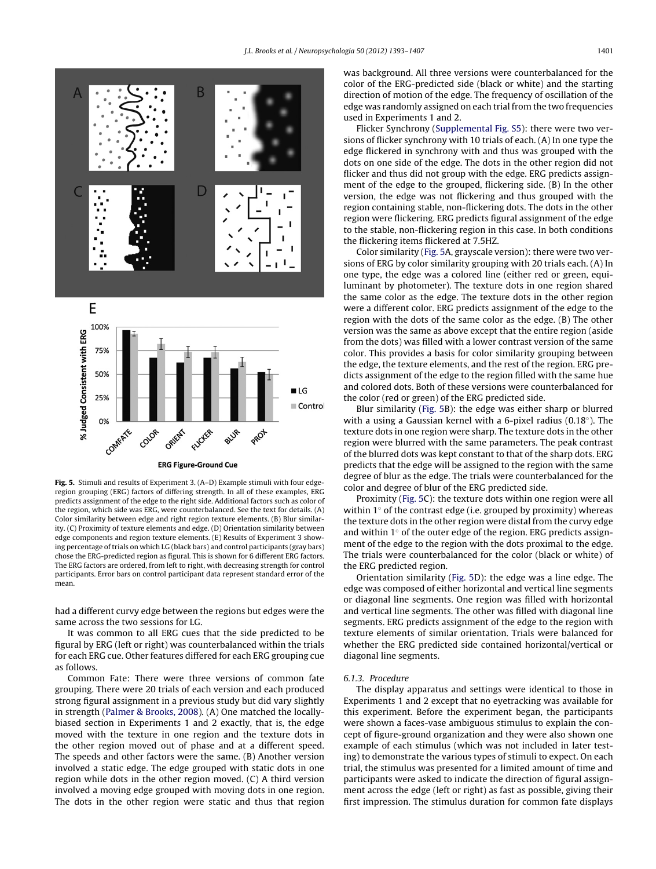<span id="page-8-0"></span>

**Fig. 5.** Stimuli and results of Experiment 3. (A–D) Example stimuli with four edgeregion grouping (ERG) factors of differing strength. In all of these examples, ERG predicts assignment of the edge to the right side. Additional factors such as color of the region, which side was ERG, were counterbalanced. See the text for details. (A) Color similarity between edge and right region texture elements. (B) Blur similarity. (C) Proximity of texture elements and edge. (D) Orientation similarity between edge components and region texture elements. (E) Results of Experiment 3 showing percentage of trials on which LG (black bars) and control participants (gray bars) chose the ERG-predicted region as figural. This is shown for 6 different ERG factors. The ERG factors are ordered, from left to right, with decreasing strength for control participants. Error bars on control participant data represent standard error of the mean.

had a different curvy edge between the regions but edges were the same across the two sessions for LG.

It was common to all ERG cues that the side predicted to be figural by ERG (left or right) was counterbalanced within the trials for each ERG cue. Other features differed for each ERG grouping cue as follows.

Common Fate: There were three versions of common fate grouping. There were 20 trials of each version and each produced strong figural assignment in a previous study but did vary slightly in strength [\(Palmer](#page-14-0) [&](#page-14-0) [Brooks,](#page-14-0) [2008\).](#page-14-0) (A) One matched the locallybiased section in Experiments 1 and 2 exactly, that is, the edge moved with the texture in one region and the texture dots in the other region moved out of phase and at a different speed. The speeds and other factors were the same. (B) Another version involved a static edge. The edge grouped with static dots in one region while dots in the other region moved. (C) A third version involved a moving edge grouped with moving dots in one region. The dots in the other region were static and thus that region was background. All three versions were counterbalanced for the color of the ERG-predicted side (black or white) and the starting direction of motion of the edge. The frequency of oscillation of the edge was randomly assigned on each trial from the two frequencies used in Experiments 1 and 2.

Flicker Synchrony [\(Supplemental](#page-13-0) [Fig.](#page-13-0) [S5\):](#page-13-0) there were two versions of flicker synchrony with 10 trials of each. (A) In one type the edge flickered in synchrony with and thus was grouped with the dots on one side of the edge. The dots in the other region did not flicker and thus did not group with the edge. ERG predicts assignment of the edge to the grouped, flickering side. (B) In the other version, the edge was not flickering and thus grouped with the region containing stable, non-flickering dots. The dots in the other region were flickering. ERG predicts figural assignment of the edge to the stable, non-flickering region in this case. In both conditions the flickering items flickered at 7.5HZ.

Color similarity (Fig. 5A, grayscale version): there were two versions of ERG by color similarity grouping with 20 trials each. (A) In one type, the edge was a colored line (either red or green, equiluminant by photometer). The texture dots in one region shared the same color as the edge. The texture dots in the other region were a different color. ERG predicts assignment of the edge to the region with the dots of the same color as the edge. (B) The other version was the same as above except that the entire region (aside from the dots) was filled with a lower contrast version of the same color. This provides a basis for color similarity grouping between the edge, the texture elements, and the rest of the region. ERG predicts assignment of the edge to the region filled with the same hue and colored dots. Both of these versions were counterbalanced for the color (red or green) of the ERG predicted side.

Blur similarity (Fig. 5B): the edge was either sharp or blurred with a using a Gaussian kernel with a 6-pixel radius  $(0.18°)$ . The texture dots in one region were sharp. The texture dots in the other region were blurred with the same parameters. The peak contrast of the blurred dots was kept constant to that of the sharp dots. ERG predicts that the edge will be assigned to the region with the same degree of blur as the edge. The trials were counterbalanced for the color and degree of blur of the ERG predicted side.

Proximity (Fig. 5C): the texture dots within one region were all within 1° of the contrast edge (i.e. grouped by proximity) whereas the texture dots in the other region were distal from the curvy edge and within 1◦ of the outer edge of the region. ERG predicts assignment of the edge to the region with the dots proximal to the edge. The trials were counterbalanced for the color (black or white) of the ERG predicted region.

Orientation similarity (Fig. 5D): the edge was a line edge. The edge was composed of either horizontal and vertical line segments or diagonal line segments. One region was filled with horizontal and vertical line segments. The other was filled with diagonal line segments. ERG predicts assignment of the edge to the region with texture elements of similar orientation. Trials were balanced for whether the ERG predicted side contained horizontal/vertical or diagonal line segments.

#### 6.1.3. Procedure

The display apparatus and settings were identical to those in Experiments 1 and 2 except that no eyetracking was available for this experiment. Before the experiment began, the participants were shown a faces-vase ambiguous stimulus to explain the concept of figure-ground organization and they were also shown one example of each stimulus (which was not included in later testing) to demonstrate the various types of stimuli to expect. On each trial, the stimulus was presented for a limited amount of time and participants were asked to indicate the direction of figural assignment across the edge (left or right) as fast as possible, giving their first impression. The stimulus duration for common fate displays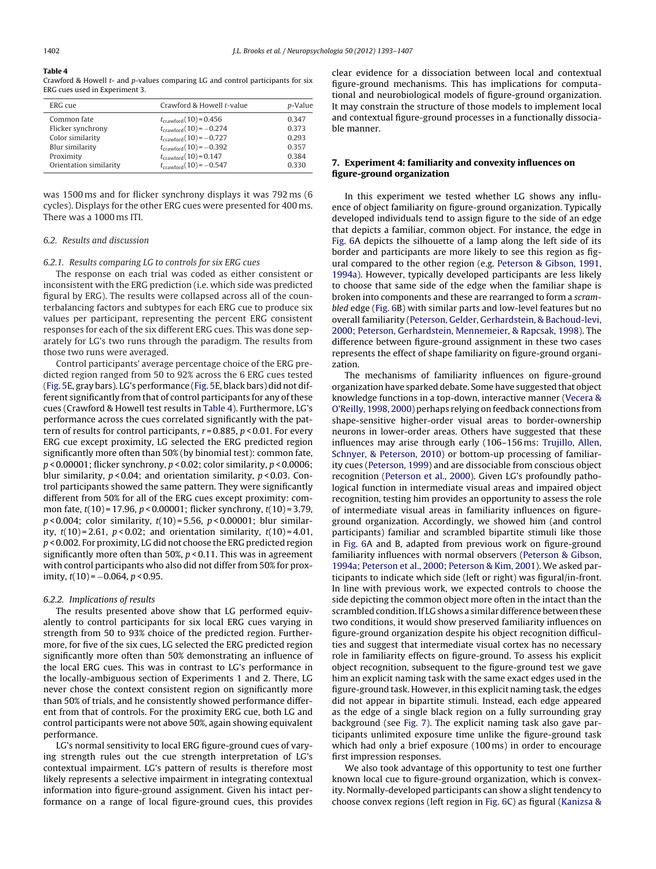## **Table 4**

Crawford & Howell t- and p-values comparing LG and control participants for six ERG cues used in Experiment 3.

| ERG cue                | Crawford & Howell t-value          | <i>p</i> -Value |
|------------------------|------------------------------------|-----------------|
| Common fate            | $t_{\text{crawford}}(10) = 0.456$  | 0.347           |
| Flicker synchrony      | $t_{\text{crawford}}(10) = -0.274$ | 0.373           |
| Color similarity       | $t_{\text{crawford}}(10) = -0.727$ | 0.293           |
| Blur similarity        | $t_{\text{crawford}}(10) = -0.392$ | 0.357           |
| Proximity              | $t_{\text{crawford}}(10) = 0.147$  | 0.384           |
| Orientation similarity | $t_{\text{crawford}}(10) = -0.547$ | 0.330           |

was 1500 ms and for flicker synchrony displays it was 792 ms (6 cycles). Displays for the other ERG cues were presented for 400 ms. There was a 1000 ms ITI.

#### 6.2. Results and discussion

## 6.2.1. Results comparing LG to controls for six ERG cues

The response on each trial was coded as either consistent or inconsistent with the ERG prediction (i.e. which side was predicted figural by ERG). The results were collapsed across all of the counterbalancing factors and subtypes for each ERG cue to produce six values per participant, representing the percent ERG consistent responses for each of the six different ERG cues. This was done separately for LG's two runs through the paradigm. The results from those two runs were averaged.

Control participants' average percentage choice of the ERG predicted region ranged from 50 to 92% across the 6 ERG cues tested ([Fig.](#page-8-0) [5E,](#page-8-0) gray bars). LG's performance ([Fig.](#page-8-0) [5E,](#page-8-0) black bars) did not different significantly from that of control participants for any of these cues (Crawford & Howell test results in Table 4). Furthermore, LG's performance across the cues correlated significantly with the pattern of results for control participants,  $r = 0.885$ ,  $p < 0.01$ . For every ERG cue except proximity, LG selected the ERG predicted region significantly more often than 50% (by binomial test): common fate,  $p$  < 0.00001; flicker synchrony,  $p$  < 0.02; color similarity,  $p$  < 0.0006; blur similarity,  $p < 0.04$ ; and orientation similarity,  $p < 0.03$ . Control participants showed the same pattern. They were significantly different from 50% for all of the ERG cues except proximity: common fate,  $t(10)$  = 17.96,  $p < 0.00001$ ; flicker synchrony,  $t(10)$  = 3.79,  $p$  < 0.004; color similarity,  $t(10)$  = 5.56,  $p$  < 0.00001; blur similarity,  $t(10) = 2.61$ ,  $p < 0.02$ ; and orientation similarity,  $t(10) = 4.01$ , p < 0.002. For proximity, LG did not choose the ERG predicted region significantly more often than 50%,  $p < 0.11$ . This was in agreement with control participants who also did not differ from 50% for proximity,  $t(10) = -0.064$ ,  $p < 0.95$ .

## 6.2.2. Implications of results

The results presented above show that LG performed equivalently to control participants for six local ERG cues varying in strength from 50 to 93% choice of the predicted region. Furthermore, for five of the six cues, LG selected the ERG predicted region significantly more often than 50% demonstrating an influence of the local ERG cues. This was in contrast to LG's performance in the locally-ambiguous section of Experiments 1 and 2. There, LG never chose the context consistent region on significantly more than 50% of trials, and he consistently showed performance different from that of controls. For the proximity ERG cue, both LG and control participants were not above 50%, again showing equivalent performance.

LG's normal sensitivity to local ERG figure-ground cues of varying strength rules out the cue strength interpretation of LG's contextual impairment. LG's pattern of results is therefore most likely represents a selective impairment in integrating contextual information into figure-ground assignment. Given his intact performance on a range of local figure-ground cues, this provides

clear evidence for a dissociation between local and contextual figure-ground mechanisms. This has implications for computational and neurobiological models of figure-ground organization. It may constrain the structure of those models to implement local and contextual figure-ground processes in a functionally dissociable manner.

# **7. Experiment 4: familiarity and convexity influences on figure-ground organization**

In this experiment we tested whether LG shows any influence of object familiarity on figure-ground organization. Typically developed individuals tend to assign figure to the side of an edge that depicts a familiar, common object. For instance, the edge in [Fig.](#page-10-0) [6A](#page-10-0) depicts the silhouette of a lamp along the left side of its border and participants are more likely to see this region as figural compared to the other region (e.g. [Peterson](#page-14-0) [&](#page-14-0) [Gibson,](#page-14-0) [1991,](#page-14-0) [1994a\).](#page-14-0) However, typically developed participants are less likely to choose that same side of the edge when the familiar shape is broken into components and these are rearranged to form a scrambled edge ([Fig.](#page-10-0) [6B\)](#page-10-0) with similar parts and low-level features but no overall familiarity [\(Peterson,](#page-14-0) [Gelder,](#page-14-0) [Gerhardstein,](#page-14-0) [&](#page-14-0) [Bachoud-levi,](#page-14-0) [2000;](#page-14-0) [Peterson,](#page-14-0) [Gerhardstein,](#page-14-0) [Mennemeier,](#page-14-0) [&](#page-14-0) [Rapcsak,](#page-14-0) [1998\).](#page-14-0) The difference between figure-ground assignment in these two cases represents the effect of shape familiarity on figure-ground organization.

The mechanisms of familiarity influences on figure-ground organization have sparked debate. Some have suggested that object knowledge functions in a top-down, interactive manner [\(Vecera](#page-14-0) [&](#page-14-0) [O'Reilly,](#page-14-0) [1998,](#page-14-0) [2000\)](#page-14-0) perhaps relying on feedback connections from shape-sensitive higher-order visual areas to border-ownership neurons in lower-order areas. Others have suggested that these influences may arise through early (106–156 ms: [Trujillo,](#page-14-0) [Allen,](#page-14-0) [Schnyer,](#page-14-0) [&](#page-14-0) [Peterson,](#page-14-0) [2010\)](#page-14-0) or bottom-up processing of familiarity cues [\(Peterson,](#page-14-0) [1999\)](#page-14-0) and are dissociable from conscious object recognition [\(Peterson](#page-14-0) et [al.,](#page-14-0) [2000\).](#page-14-0) Given LG's profoundly pathological function in intermediate visual areas and impaired object recognition, testing him provides an opportunity to assess the role of intermediate visual areas in familiarity influences on figureground organization. Accordingly, we showed him (and control participants) familiar and scrambled bipartite stimuli like those in [Fig.](#page-10-0) [6A](#page-10-0) and B, adapted from previous work on figure-ground familiarity influences with normal observers ([Peterson](#page-14-0) [&](#page-14-0) [Gibson,](#page-14-0) [1994a;](#page-14-0) [Peterson](#page-14-0) [et](#page-14-0) [al.,](#page-14-0) [2000;](#page-14-0) [Peterson](#page-14-0) [&](#page-14-0) [Kim,](#page-14-0) [2001\).](#page-14-0) We asked participants to indicate which side (left or right) was figural/in-front. In line with previous work, we expected controls to choose the side depicting the common object more often in the intact than the scrambled condition. If LG shows a similar difference between these two conditions, it would show preserved familiarity influences on figure-ground organization despite his object recognition difficulties and suggest that intermediate visual cortex has no necessary role in familiarity effects on figure-ground. To assess his explicit object recognition, subsequent to the figure-ground test we gave him an explicit naming task with the same exact edges used in the figure-ground task. However, in this explicit naming task, the edges did not appear in bipartite stimuli. Instead, each edge appeared as the edge of a single black region on a fully surrounding gray background (see [Fig.](#page-11-0) [7\).](#page-11-0) The explicit naming task also gave participants unlimited exposure time unlike the figure-ground task which had only a brief exposure (100 ms) in order to encourage first impression responses.

We also took advantage of this opportunity to test one further known local cue to figure-ground organization, which is convexity. Normally-developed participants can show a slight tendency to choose convex regions (left region in [Fig.](#page-10-0) [6C\)](#page-10-0) as figural ([Kanizsa](#page-14-0) [&](#page-14-0)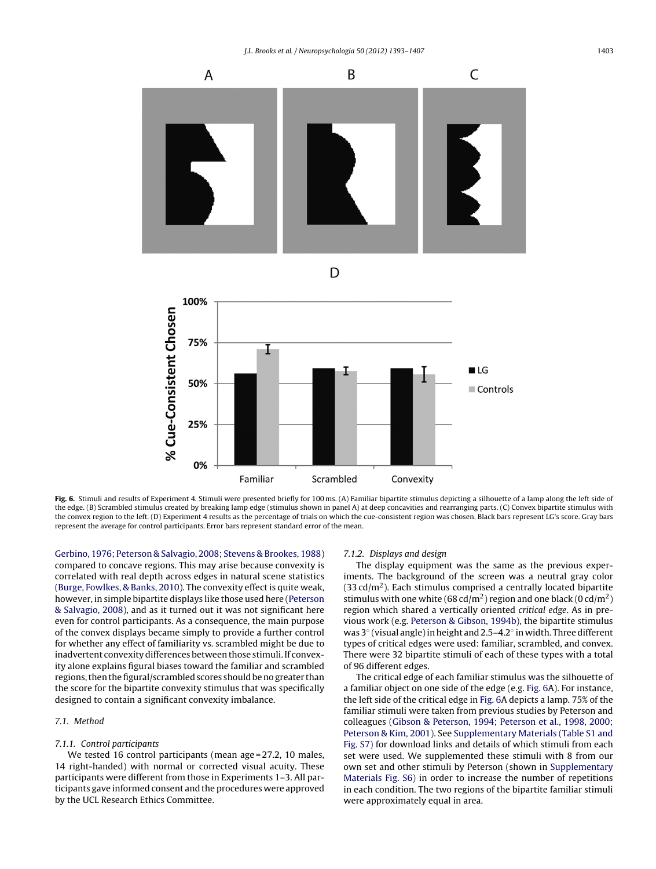<span id="page-10-0"></span>

**Fig. 6.** Stimuli and results of Experiment 4. Stimuli were presented briefly for 100 ms. (A) Familiar bipartite stimulus depicting a silhouette of a lamp along the left side of the edge. (B) Scrambled stimulus created by breaking lamp edge (stimulus shown in panel A) at deep concavities and rearranging parts. (C) Convex bipartite stimulus with the convex region to the left. (D) Experiment 4 results as the percentage of trials on which the cue-consistent region was chosen. Black bars represent LG's score. Gray bars represent the average for control participants. Error bars represent standard error of the mean.

[Gerbino,](#page-14-0) [1976;](#page-14-0) [Peterson](#page-14-0) [&](#page-14-0) [Salvagio,](#page-14-0) [2008;](#page-14-0) [Stevens](#page-14-0) [&](#page-14-0) [Brookes,](#page-14-0) [1988\)](#page-14-0) compared to concave regions. This may arise because convexity is correlated with real depth across edges in natural scene statistics ([Burge,](#page-13-0) [Fowlkes,](#page-13-0) [&](#page-13-0) [Banks,](#page-13-0) [2010\).](#page-13-0) The convexity effect is quite weak, however, in simple bipartite displays like those used here ([Peterson](#page-14-0) [&](#page-14-0) [Salvagio,](#page-14-0) [2008\),](#page-14-0) and as it turned out it was not significant here even for control participants. As a consequence, the main purpose of the convex displays became simply to provide a further control for whether any effect of familiarity vs. scrambled might be due to inadvertent convexity differences between those stimuli. If convexity alone explains figural biases toward the familiar and scrambled regions, then the figural/scrambled scores should be no greater than the score for the bipartite convexity stimulus that was specifically designed to contain a significant convexity imbalance.

# 7.1. Method

# 7.1.1. Control participants

We tested 16 control participants (mean age = 27.2, 10 males, 14 right-handed) with normal or corrected visual acuity. These participants were different from those in Experiments 1–3. All participants gave informed consent and the procedures were approved by the UCL Research Ethics Committee.

## 7.1.2. Displays and design

The display equipment was the same as the previous experiments. The background of the screen was a neutral gray color  $(33 \text{ cd/m}^2)$ . Each stimulus comprised a centrally located bipartite stimulus with one white (68 cd/m<sup>2</sup>) region and one black (0 cd/m<sup>2</sup>) region which shared a vertically oriented critical edge. As in previous work (e.g. [Peterson](#page-14-0) [&](#page-14-0) [Gibson,](#page-14-0) [1994b\),](#page-14-0) the bipartite stimulus was 3° (visual angle) in height and 2.5–4.2° in width. Three different types of critical edges were used: familiar, scrambled, and convex. There were 32 bipartite stimuli of each of these types with a total of 96 different edges.

The critical edge of each familiar stimulus was the silhouette of a familiar object on one side of the edge (e.g. Fig. 6A). For instance, the left side of the critical edge in Fig. 6A depicts a lamp. 75% of the familiar stimuli were taken from previous studies by Peterson and colleagues ([Gibson](#page-13-0) [&](#page-13-0) [Peterson,](#page-13-0) [1994;](#page-13-0) [Peterson](#page-13-0) et [al.,](#page-13-0) [1998,](#page-13-0) [2000;](#page-13-0) [Peterson](#page-13-0) [&](#page-13-0) [Kim,](#page-13-0) [2001\).](#page-13-0) See [Supplementary](#page-13-0) [Materials](#page-13-0) [\(Table](#page-13-0) [S1](#page-13-0) [and](#page-13-0) [Fig.](#page-13-0) [S7\)](#page-13-0) for download links and details of which stimuli from each set were used. We supplemented these stimuli with 8 from our own set and other stimuli by Peterson (shown in [Supplementary](#page-13-0) [Materials](#page-13-0) [Fig.](#page-13-0) [S6\)](#page-13-0) in order to increase the number of repetitions in each condition. The two regions of the bipartite familiar stimuli were approximately equal in area.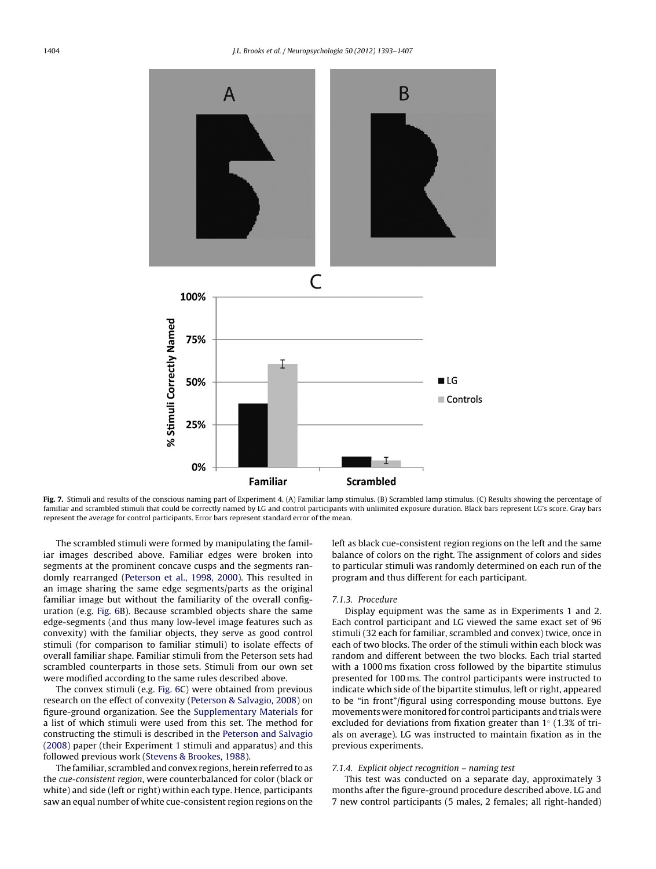<span id="page-11-0"></span>

**Fig. 7.** Stimuli and results of the conscious naming part of Experiment 4. (A) Familiar lamp stimulus. (B) Scrambled lamp stimulus. (C) Results showing the percentage of familiar and scrambled stimuli that could be correctly named by LG and control participants with unlimited exposure duration. Black bars represent LG's score. Gray bars represent the average for control participants. Error bars represent standard error of the mean.

The scrambled stimuli were formed by manipulating the familiar images described above. Familiar edges were broken into segments at the prominent concave cusps and the segments randomly rearranged [\(Peterson](#page-14-0) et [al.,](#page-14-0) [1998,](#page-14-0) [2000\).](#page-14-0) This resulted in an image sharing the same edge segments/parts as the original familiar image but without the familiarity of the overall configuration (e.g. [Fig.](#page-10-0) [6B](#page-10-0)). Because scrambled objects share the same edge-segments (and thus many low-level image features such as convexity) with the familiar objects, they serve as good control stimuli (for comparison to familiar stimuli) to isolate effects of overall familiar shape. Familiar stimuli from the Peterson sets had scrambled counterparts in those sets. Stimuli from our own set were modified according to the same rules described above.

The convex stimuli (e.g. [Fig.](#page-10-0) [6C\)](#page-10-0) were obtained from previous research on the effect of convexity ([Peterson](#page-14-0) [&](#page-14-0) [Salvagio,](#page-14-0) [2008\)](#page-14-0) on figure-ground organization. See the [Supplementary](#page-13-0) [Materials](#page-13-0) for a list of which stimuli were used from this set. The method for constructing the stimuli is described in the [Peterson](#page-14-0) [and](#page-14-0) [Salvagio](#page-14-0) [\(2008\)](#page-14-0) paper (their Experiment 1 stimuli and apparatus) and this followed previous work ([Stevens](#page-14-0) [&](#page-14-0) [Brookes,](#page-14-0) [1988\).](#page-14-0)

The familiar, scrambled and convex regions, herein referred to as the cue-consistent region, were counterbalanced for color (black or white) and side (left or right) within each type. Hence, participants saw an equal number of white cue-consistent region regions on the

left as black cue-consistent region regions on the left and the same balance of colors on the right. The assignment of colors and sides to particular stimuli was randomly determined on each run of the program and thus different for each participant.

#### 7.1.3. Procedure

Display equipment was the same as in Experiments 1 and 2. Each control participant and LG viewed the same exact set of 96 stimuli (32 each for familiar, scrambled and convex) twice, once in each of two blocks. The order of the stimuli within each block was random and different between the two blocks. Each trial started with a 1000 ms fixation cross followed by the bipartite stimulus presented for 100 ms. The control participants were instructed to indicate which side of the bipartite stimulus, left or right, appeared to be "in front"/figural using corresponding mouse buttons. Eye movements were monitored for control participants and trials were excluded for deviations from fixation greater than 1◦ (1.3% of trials on average). LG was instructed to maintain fixation as in the previous experiments.

## 7.1.4. Explicit object recognition – naming test

This test was conducted on a separate day, approximately 3 months after the figure-ground procedure described above. LG and 7 new control participants (5 males, 2 females; all right-handed)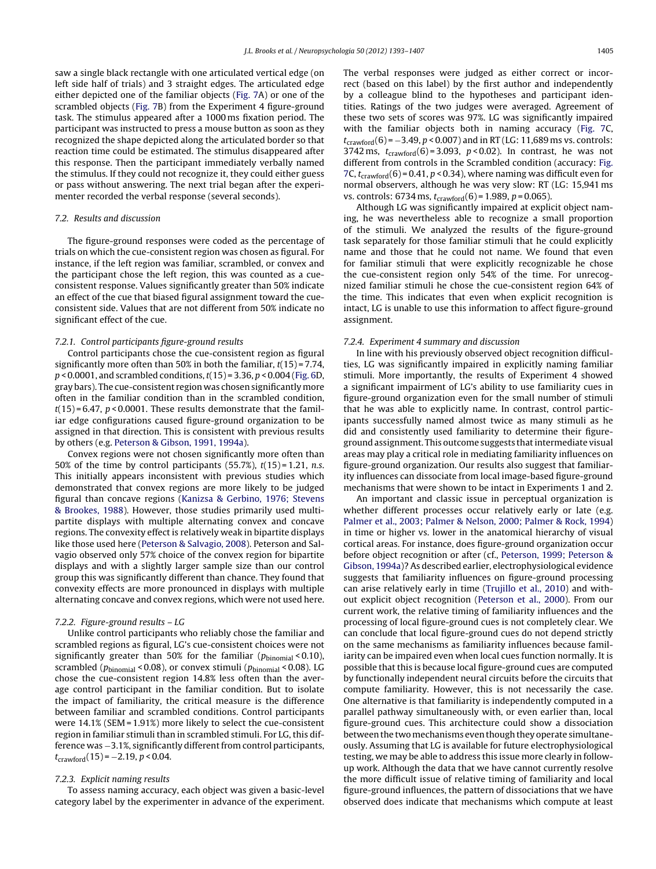saw a single black rectangle with one articulated vertical edge (on left side half of trials) and 3 straight edges. The articulated edge either depicted one of the familiar objects ([Fig.](#page-11-0) [7A](#page-11-0)) or one of the scrambled objects [\(Fig.](#page-11-0) [7B\)](#page-11-0) from the Experiment 4 figure-ground task. The stimulus appeared after a 1000 ms fixation period. The participant was instructed to press a mouse button as soon as they recognized the shape depicted along the articulated border so that reaction time could be estimated. The stimulus disappeared after this response. Then the participant immediately verbally named the stimulus. If they could not recognize it, they could either guess or pass without answering. The next trial began after the experimenter recorded the verbal response (several seconds).

# 7.2. Results and discussion

The figure-ground responses were coded as the percentage of trials on which the cue-consistent region was chosen as figural. For instance, if the left region was familiar, scrambled, or convex and the participant chose the left region, this was counted as a cueconsistent response. Values significantly greater than 50% indicate an effect of the cue that biased figural assignment toward the cueconsistent side. Values that are not different from 50% indicate no significant effect of the cue.

## 7.2.1. Control participants figure-ground results

Control participants chose the cue-consistent region as figural significantly more often than 50% in both the familiar,  $t(15) = 7.74$ ,  $p$  < 0.0001, and scrambled conditions,  $t(15)$  = 3.36,  $p$  < 0.004 [\(Fig.](#page-10-0) [6D](#page-10-0), gray bars). The cue-consistent region was chosen significantly more often in the familiar condition than in the scrambled condition,  $t(15) = 6.47$ ,  $p < 0.0001$ . These results demonstrate that the familiar edge configurations caused figure-ground organization to be assigned in that direction. This is consistent with previous results by others (e.g. [Peterson](#page-14-0) [&](#page-14-0) [Gibson,](#page-14-0) [1991,](#page-14-0) [1994a\).](#page-14-0)

Convex regions were not chosen significantly more often than 50% of the time by control participants  $(55.7\%)$ ,  $t(15) = 1.21$ , n.s. This initially appears inconsistent with previous studies which demonstrated that convex regions are more likely to be judged figural than concave regions [\(Kanizsa](#page-14-0) [&](#page-14-0) [Gerbino,](#page-14-0) [1976;](#page-14-0) [Stevens](#page-14-0) [&](#page-14-0) [Brookes,](#page-14-0) [1988\).](#page-14-0) However, those studies primarily used multipartite displays with multiple alternating convex and concave regions. The convexity effect is relatively weak in bipartite displays like those used here ([Peterson](#page-14-0) [&](#page-14-0) [Salvagio,](#page-14-0) [2008\).](#page-14-0) Peterson and Salvagio observed only 57% choice of the convex region for bipartite displays and with a slightly larger sample size than our control group this was significantly different than chance. They found that convexity effects are more pronounced in displays with multiple alternating concave and convex regions, which were not used here.

#### 7.2.2. Figure-ground results – LG

Unlike control participants who reliably chose the familiar and scrambled regions as figural, LG's cue-consistent choices were not significantly greater than 50% for the familiar ( $p_{\text{binomial}}$  < 0.10), scrambled ( $p_{\text{binomial}}$  < 0.08), or convex stimuli ( $p_{\text{binomial}}$  < 0.08). LG chose the cue-consistent region 14.8% less often than the average control participant in the familiar condition. But to isolate the impact of familiarity, the critical measure is the difference between familiar and scrambled conditions. Control participants were 14.1% (SEM = 1.91%) more likely to select the cue-consistent region in familiar stimuli than in scrambled stimuli. For LG, this difference was -3.1%, significantly different from control participants,  $t_{crawford}(15) = -2.19, p < 0.04.$ 

## 7.2.3. Explicit naming results

To assess naming accuracy, each object was given a basic-level category label by the experimenter in advance of the experiment. The verbal responses were judged as either correct or incorrect (based on this label) by the first author and independently by a colleague blind to the hypotheses and participant identities. Ratings of the two judges were averaged. Agreement of these two sets of scores was 97%. LG was significantly impaired with the familiar objects both in naming accuracy [\(Fig.](#page-11-0) [7C,](#page-11-0)  $t_{\text{crawford}}(6) = -3.49, p < 0.007$ ) and in RT (LG: 11,689 ms vs. controls: 3742 ms,  $t_{crawford}(6) = 3.093$ ,  $p < 0.02$ ). In contrast, he was not different from controls in the Scrambled condition (accuracy: [Fig.](#page-11-0) [7C](#page-11-0),  $t_{\text{crawford}}(6)$  = 0.41, p < 0.34), where naming was difficult even for normal observers, although he was very slow: RT (LG: 15,941 ms vs. controls: 6734 ms,  $t_{crawford}(6) = 1.989$ ,  $p = 0.065$ ).

Although LG was significantly impaired at explicit object naming, he was nevertheless able to recognize a small proportion of the stimuli. We analyzed the results of the figure-ground task separately for those familiar stimuli that he could explicitly name and those that he could not name. We found that even for familiar stimuli that were explicitly recognizable he chose the cue-consistent region only 54% of the time. For unrecognized familiar stimuli he chose the cue-consistent region 64% of the time. This indicates that even when explicit recognition is intact, LG is unable to use this information to affect figure-ground assignment.

#### 7.2.4. Experiment 4 summary and discussion

In line with his previously observed object recognition difficulties, LG was significantly impaired in explicitly naming familiar stimuli. More importantly, the results of Experiment 4 showed a significant impairment of LG's ability to use familiarity cues in figure-ground organization even for the small number of stimuli that he was able to explicitly name. In contrast, control participants successfully named almost twice as many stimuli as he did and consistently used familiarity to determine their figureground assignment. This outcome suggests that intermediate visual areas may play a critical role in mediating familiarity influences on figure-ground organization. Our results also suggest that familiarity influences can dissociate from local image-based figure-ground mechanisms that were shown to be intact in Experiments 1 and 2.

An important and classic issue in perceptual organization is whether different processes occur relatively early or late (e.g. [Palmer](#page-14-0) et [al.,](#page-14-0) [2003;](#page-14-0) [Palmer](#page-14-0) [&](#page-14-0) [Nelson,](#page-14-0) [2000;](#page-14-0) [Palmer](#page-14-0) [&](#page-14-0) [Rock,](#page-14-0) [1994\)](#page-14-0) in time or higher vs. lower in the anatomical hierarchy of visual cortical areas. For instance, does figure-ground organization occur before object recognition or after (cf., [Peterson,](#page-14-0) [1999;](#page-14-0) [Peterson](#page-14-0) [&](#page-14-0) [Gibson,](#page-14-0) [1994a\)?](#page-14-0) As described earlier, electrophysiological evidence suggests that familiarity influences on figure-ground processing can arise relatively early in time [\(Trujillo](#page-14-0) et [al.,](#page-14-0) [2010\)](#page-14-0) and without explicit object recognition ([Peterson](#page-14-0) et [al.,](#page-14-0) [2000\).](#page-14-0) From our current work, the relative timing of familiarity influences and the processing of local figure-ground cues is not completely clear. We can conclude that local figure-ground cues do not depend strictly on the same mechanisms as familiarity influences because familiarity can be impaired even when local cues function normally. It is possible that this is because local figure-ground cues are computed by functionally independent neural circuits before the circuits that compute familiarity. However, this is not necessarily the case. One alternative is that familiarity is independently computed in a parallel pathway simultaneously with, or even earlier than, local figure-ground cues. This architecture could show a dissociation between the two mechanisms even though they operate simultaneously. Assuming that LG is available for future electrophysiological testing, we may be able to address this issue more clearly in followup work. Although the data that we have cannot currently resolve the more difficult issue of relative timing of familiarity and local figure-ground influences, the pattern of dissociations that we have observed does indicate that mechanisms which compute at least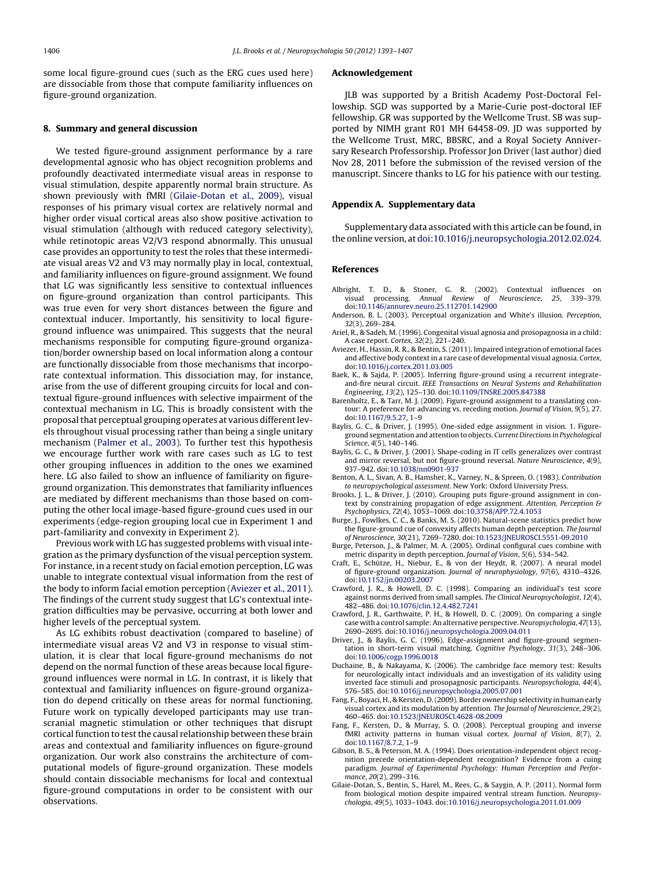<span id="page-13-0"></span>some local figure-ground cues (such as the ERG cues used here) are dissociable from those that compute familiarity influences on figure-ground organization.

# **8. Summary and general discussion**

We tested figure-ground assignment performance by a rare developmental agnosic who has object recognition problems and profoundly deactivated intermediate visual areas in response to visual stimulation, despite apparently normal brain structure. As shown previously with fMRI [\(Gilaie-Dotan](#page-14-0) et [al.,](#page-14-0) [2009\),](#page-14-0) visual responses of his primary visual cortex are relatively normal and higher order visual cortical areas also show positive activation to visual stimulation (although with reduced category selectivity), while retinotopic areas V2/V3 respond abnormally. This unusual case provides an opportunity to test the roles that these intermediate visual areas V2 and V3 may normally play in local, contextual, and familiarity influences on figure-ground assignment. We found that LG was significantly less sensitive to contextual influences on figure-ground organization than control participants. This was true even for very short distances between the figure and contextual inducer. Importantly, his sensitivity to local figureground influence was unimpaired. This suggests that the neural mechanisms responsible for computing figure-ground organization/border ownership based on local information along a contour are functionally dissociable from those mechanisms that incorporate contextual information. This dissociation may, for instance, arise from the use of different grouping circuits for local and contextual figure-ground influences with selective impairment of the contextual mechanism in LG. This is broadly consistent with the proposal that perceptual grouping operates at various different levels throughout visual processing rather than being a single unitary mechanism [\(Palmer](#page-14-0) et [al.,](#page-14-0) [2003\).](#page-14-0) To further test this hypothesis we encourage further work with rare cases such as LG to test other grouping influences in addition to the ones we examined here. LG also failed to show an influence of familiarity on figureground organization. This demonstrates that familiarity influences are mediated by different mechanisms than those based on computing the other local image-based figure-ground cues used in our experiments (edge-region grouping local cue in Experiment 1 and part-familiarity and convexity in Experiment 2).

Previous work with LG has suggested problems with visual integration as the primary dysfunction of the visual perception system. For instance, in a recent study on facial emotion perception, LG was unable to integrate contextual visual information from the rest of the body to inform facial emotion perception (Aviezer et al., 2011). The findings of the current study suggest that LG's contextual integration difficulties may be pervasive, occurring at both lower and higher levels of the perceptual system.

As LG exhibits robust deactivation (compared to baseline) of intermediate visual areas V2 and V3 in response to visual stimulation, it is clear that local figure-ground mechanisms do not depend on the normal function of these areas because local figureground influences were normal in LG. In contrast, it is likely that contextual and familiarity influences on figure-ground organization do depend critically on these areas for normal functioning. Future work on typically developed participants may use transcranial magnetic stimulation or other techniques that disrupt cortical function to test the causal relationship between these brain areas and contextual and familiarity influences on figure-ground organization. Our work also constrains the architecture of computational models of figure-ground organization. These models should contain dissociable mechanisms for local and contextual figure-ground computations in order to be consistent with our observations.

#### **Acknowledgement**

JLB was supported by a British Academy Post-Doctoral Fellowship. SGD was supported by a Marie-Curie post-doctoral IEF fellowship. GR was supported by the Wellcome Trust. SB was supported by NIMH grant R01 MH 64458-09. JD was supported by the Wellcome Trust, MRC, BBSRC, and a Royal Society Anniversary Research Professorship. Professor Jon Driver (last author) died Nov 28, 2011 before the submission of the revised version of the manuscript. Sincere thanks to LG for his patience with our testing.

## **Appendix A. Supplementary data**

Supplementary data associated with this article can be found, in the online version, at [doi:10.1016/j.neuropsychologia.2012.02.024](http://dx.doi.org/10.1016/j.neuropsychologia.2012.02.024).

## **References**

- Albright, T. D., & Stoner, G. R. (2002). Contextual influences on visual processing. Annual Review of Neuroscience. 25. 339-379. processing. Annual Review of Neuroscience, 25, 339-379. doi[:10.1146/annurev.neuro.25.112701.142900](dx.doi.org/10.1146/annurev.neuro.25.112701.142900)
- Anderson, B. L. (2003). Perceptual organization and White's illusion. Perception, 32(3), 269–284.
- Ariel, R., & Sadeh, M. (1996). Congenital visual agnosia and prosopagnosia in a child: A case report. Cortex, 32(2), 221–240.
- Aviezer, H., Hassin, R. R., & Bentin, S. (2011). Impaired integration of emotional faces and affective body context in a rare case of developmental visual agnosia. Cortex, doi[:10.1016/j.cortex.2011.03.005](dx.doi.org/10.1016/j.cortex.2011.03.005)
- Baek, K., & Sajda, P. (2005). Inferring figure-ground using a recurrent integrateand-fire neural circuit. IEEE Transactions on Neural Systems and Rehabilitation Engineering, 13(2), 125–130. doi:[10.1109/TNSRE.2005.847388](dx.doi.org/10.1109/TNSRE.2005.847388)
- Barenholtz, E., & Tarr, M. J. (2009). Figure-ground assignment to a translating contour: A preference for advancing vs. receding motion. Journal of Vision, 9(5), 27. doi[:10.1167/9.5.27,](dx.doi.org/10.1167/9.5.27) 1–9
- Baylis, G. C., & Driver, J. (1995). One-sided edge assignment in vision. 1. Figureground segmentation and attention to objects. Current Directions in Psychological Science, 4(5), 140–146.
- Baylis, G. C., & Driver, J. (2001). Shape-coding in IT cells generalizes over contrast and mirror reversal, but not figure-ground reversal. Nature Neuroscience, 4(9), 937–942. doi[:10.1038/nn0901-937](dx.doi.org/10.1038/nn0901-937)
- Benton, A. L., Sivan, A. B., Hamsher, K., Varney, N., & Spreen, O. (1983). Contribution to neuropsychological assessment. New York: Oxford University Press.
- Brooks, J. L., & Driver, J. (2010). Grouping puts figure-ground assignment in context by constraining propagation of edge assignment. Attention, Perception & Psychophysics, 72(4), 1053–1069. doi:[10.3758/APP.72.4.1053](dx.doi.org/10.3758/APP.72.4.1053)
- Burge, J., Fowlkes, C. C., & Banks, M. S. (2010). Natural-scene statistics predict how the figure-ground cue of convexity affects human depth perception. The Journal of Neuroscience, 30(21), 7269–7280. doi[:10.1523/JNEUROSCI.5551-09.2010](dx.doi.org/10.1523/JNEUROSCI.5551-09.2010)
- Burge, Peterson, J., & Palmer, M. A. (2005). Ordinal configural cues combine with metric disparity in depth perception. Journal of Vision, 5(6), 534–542.
- Craft, E., Schütze, H., Niebur, E., & von der Heydt, R. (2007). A neural model of figure-ground organization. Journal of neurophysiology, 97(6), 4310–4326. doi[:10.1152/jn.00203.2007](dx.doi.org/10.1152/jn.00203.2007)
- Crawford, J. R., & Howell, D. C. (1998). Comparing an individual's test score against norms derived from small samples. The Clinical Neuropsychologist, 12(4), 482–486. doi[:10.1076/clin.12.4.482.7241](dx.doi.org/10.1076/clin.12.4.482.7241)
- Crawford, J. R., Garthwaite, P. H., & Howell, D. C. (2009). On comparing a single case with a control sample:An alternative perspective. Neuropsychologia, 47(13), 2690–2695. doi[:10.1016/j.neuropsychologia.2009.04.011](dx.doi.org/10.1016/j.neuropsychologia.2009.04.011)
- Driver, J., & Baylis, G. C. (1996). Edge-assignment and figure-ground segmentation in short-term visual matching. Cognitive Psychology, 31(3), 248–306. doi[:10.1006/cogp.1996.0018](dx.doi.org/10.1006/cogp.1996.0018)
- Duchaine, B., & Nakayama, K. (2006). The cambridge face memory test: Results for neurologically intact individuals and an investigation of its validity using inverted face stimuli and prosopagnosic participants. Neuropsychologia, 44(4), 576–585. doi[:10.1016/j.neuropsychologia.2005.07.001](dx.doi.org/10.1016/j.neuropsychologia.2005.07.001)
- Fang, F., Boyaci, H., & Kersten, D.(2009). Border ownership selectivity in human early visual cortex and its modulation by attention. The Journal of Neuroscience, 29(2), 460–465. doi[:10.1523/JNEUROSCI.4628-08.2009](dx.doi.org/10.1523/JNEUROSCI.4628-08.2009)
- Fang, F., Kersten, D., & Murray, S. O. (2008). Perceptual grouping and inverse fMRI activity patterns in human visual cortex. Journal of Vision, 8(7), 2. doi[:10.1167/8.7.2,](dx.doi.org/10.1167/8.7.2) 1–9
- Gibson, B. S., & Peterson, M. A. (1994). Does orientation-independent object recognition precede orientation-dependent recognition? Evidence from a cuing paradigm. Journal of Experimental Psychology: Human Perception and Performance, 20(2), 299–316.
- Gilaie-Dotan, S., Bentin, S., Harel, M., Rees, G., & Saygin, A. P. (2011). Normal form from biological motion despite impaired ventral stream function. Neuropsychologia, 49(5), 1033–1043. doi[:10.1016/j.neuropsychologia.2011.01.009](dx.doi.org/10.1016/j.neuropsychologia.2011.01.009)